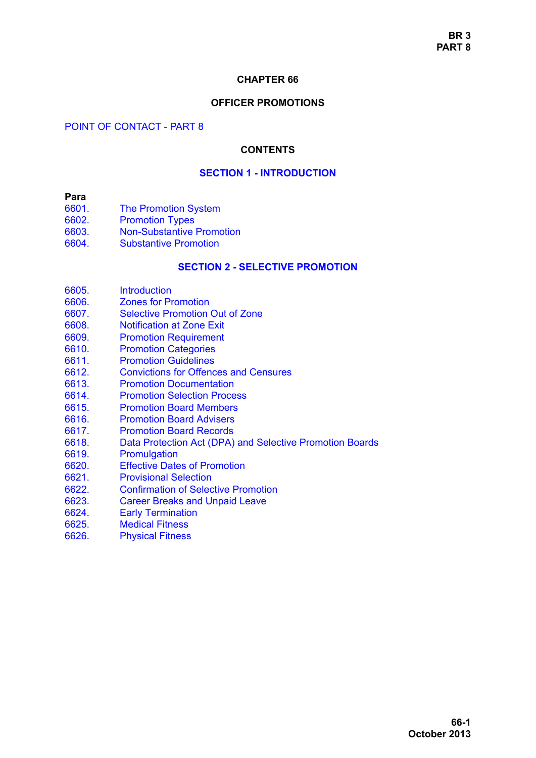#### **CHAPTER 66**

## **OFFICER PROMOTIONS**

#### POINT OF CONTACT - PART 8

#### **CONTENTS**

## **[SECTION 1 - INTRODUCTION](#page-2-0)**

#### **Para**

- [6601. The Promotion System](#page-2-1)
- [6602. Promotion Types](#page-2-2)
- **Non-Substantive Promotion**
- [6604. Substantive Promotion](#page-2-4)

## **[SECTION 2 - SELECTIVE PROMOTION](#page-4-0)**

- [6605. Introduction](#page-4-1)
- [6606. Zones for Promotion](#page-4-2)
- [6607. Selective Promotion Out of Zone](#page-4-3)
- [6608. Notification at Zone Exit](#page-4-4)
- [6609. Promotion Requirement](#page-5-0)
- [6610. Promotion Categories](#page-5-1)
- [6611. Promotion Guidelines](#page-6-0)
- [6612. Convictions for Offences and Censures](#page-6-1)
- [6613. Promotion Documentation](#page-7-0)
- [6614. Promotion Selection Process](#page-7-1)
- [6615. Promotion Board Members](#page-8-0)
- [6616. Promotion Board Advisers](#page-9-0)
- [6617. Promotion Board Records](#page-10-0)
- [6618. Data Protection Act \(DPA\) and Selective Promotion Boards](#page-10-1)
- [6619. Promulgation](#page-10-2)
- [6620. Effective Dates of Promotion](#page-11-0)
- [6621. Provisional Selection](#page-11-1)
- [6622. Confirmation of Selective Promotion](#page-11-2)
- [6623. Career Breaks and Unpaid Leave](#page-12-0)
- [6624. Early Termination](#page-12-1)
- [6625. Medical Fitness](#page-12-2)
- [6626. Physical Fitness](#page-12-3)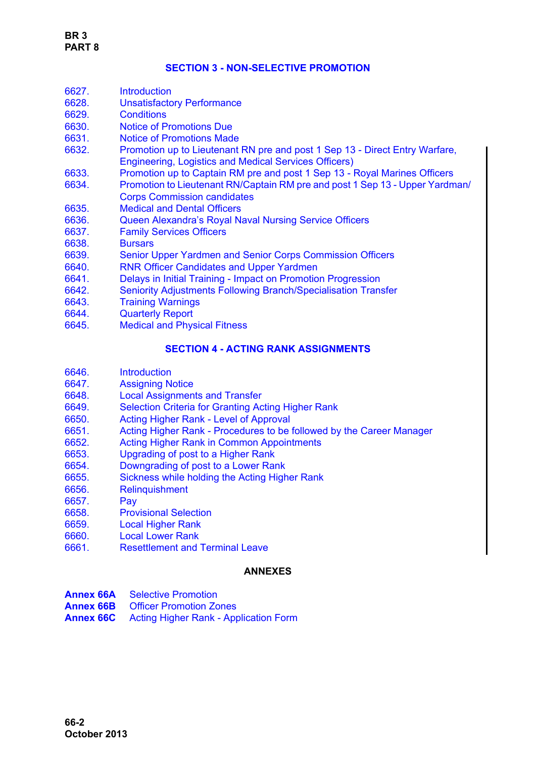## **[SECTION 3 - NON-SELECTIVE PROMOTION](#page-14-0)**

| 6627. | <b>Introduction</b>                                                                                                                         |
|-------|---------------------------------------------------------------------------------------------------------------------------------------------|
| 6628. | <b>Unsatisfactory Performance</b>                                                                                                           |
| 6629. | <b>Conditions</b>                                                                                                                           |
| 6630. | <b>Notice of Promotions Due</b>                                                                                                             |
| 6631. | <b>Notice of Promotions Made</b>                                                                                                            |
| 6632. | Promotion up to Lieutenant RN pre and post 1 Sep 13 - Direct Entry Warfare,<br><b>Engineering, Logistics and Medical Services Officers)</b> |
| 6633. | Promotion up to Captain RM pre and post 1 Sep 13 - Royal Marines Officers                                                                   |
| 6634. | Promotion to Lieutenant RN/Captain RM pre and post 1 Sep 13 - Upper Yardman/                                                                |
|       | <b>Corps Commission candidates</b>                                                                                                          |
| 6635. | <b>Medical and Dental Officers</b>                                                                                                          |
| 6636. | <b>Queen Alexandra's Royal Naval Nursing Service Officers</b>                                                                               |
| 6637. | <b>Family Services Officers</b>                                                                                                             |
| 6638. | <b>Bursars</b>                                                                                                                              |
| 6639. | Senior Upper Yardmen and Senior Corps Commission Officers                                                                                   |
| 6640. | <b>RNR Officer Candidates and Upper Yardmen</b>                                                                                             |
| 6641. | Delays in Initial Training - Impact on Promotion Progression                                                                                |
| 6642. | <b>Seniority Adjustments Following Branch/Specialisation Transfer</b>                                                                       |
| 6643. | <b>Training Warnings</b>                                                                                                                    |
| 6644. | <b>Quarterly Report</b>                                                                                                                     |
| 6645. | <b>Medical and Physical Fitness</b>                                                                                                         |
|       | <b>SECTION 4 - ACTING RANK ASSIGNMENTS</b>                                                                                                  |

- [6646. Introduction](#page-23-1)
- [6647. Assigning Notice](#page-23-2)
- [6648. Local Assignments and Transfer](#page-23-3)
- [6649. Selection Criteria for Granting Acting Higher Rank](#page-23-4)
- [6650. Acting Higher Rank Level of Approval](#page-24-0)
- [6651. Acting Higher Rank Procedures to be followed by the Career Manager](#page-25-0)
- [6652. Acting Higher Rank in Common Appointments](#page-27-0)
- [6653. Upgrading of post to a Higher Rank](#page-27-1)
- [6654. Downgrading of post to a Lower Rank](#page-27-2)
- [6655. Sickness while holding the Acting Higher Rank](#page-27-3)
- [6656. Relinquishment](#page-27-4)
- [6657. Pay](#page-28-0)
- [6658. Provisional Selection](#page-28-1)
- [6659. Local Higher Rank](#page-28-2)
- [6660. Local Lower Rank](#page-29-0)
- [6661. Resettlement and Terminal Leave](#page-29-1)

## **ANNEXES**

| <b>Annex 66A</b> Selective Promotion                   |
|--------------------------------------------------------|
| <b>Annex 66B</b> Officer Promotion Zones               |
| <b>Annex 66C</b> Acting Higher Rank - Application Form |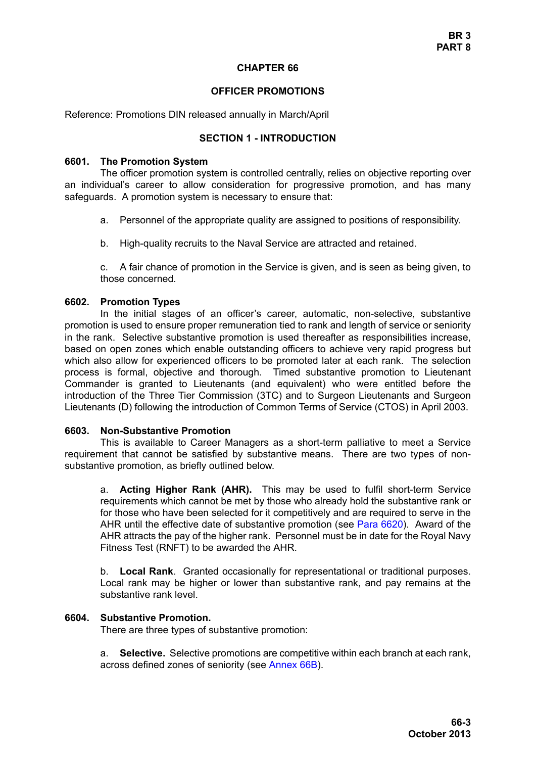#### **CHAPTER 66**

#### **OFFICER PROMOTIONS**

<span id="page-2-0"></span>Reference: Promotions DIN released annually in March/April

#### **SECTION 1 - INTRODUCTION**

#### <span id="page-2-1"></span>**6601. The Promotion System**

The officer promotion system is controlled centrally, relies on objective reporting over an individual's career to allow consideration for progressive promotion, and has many safeguards. A promotion system is necessary to ensure that:

- a. Personnel of the appropriate quality are assigned to positions of responsibility.
- b. High-quality recruits to the Naval Service are attracted and retained.

c. A fair chance of promotion in the Service is given, and is seen as being given, to those concerned.

#### <span id="page-2-2"></span>**6602. Promotion Types**

In the initial stages of an officer's career, automatic, non-selective, substantive promotion is used to ensure proper remuneration tied to rank and length of service or seniority in the rank. Selective substantive promotion is used thereafter as responsibilities increase, based on open zones which enable outstanding officers to achieve very rapid progress but which also allow for experienced officers to be promoted later at each rank. The selection process is formal, objective and thorough. Timed substantive promotion to Lieutenant Commander is granted to Lieutenants (and equivalent) who were entitled before the introduction of the Three Tier Commission (3TC) and to Surgeon Lieutenants and Surgeon Lieutenants (D) following the introduction of Common Terms of Service (CTOS) in April 2003.

#### <span id="page-2-3"></span>**6603. Non-Substantive Promotion**

This is available to Career Managers as a short-term palliative to meet a Service requirement that cannot be satisfied by substantive means. There are two types of nonsubstantive promotion, as briefly outlined below.

a. **Acting Higher Rank (AHR).** This may be used to fulfil short-term Service requirements which cannot be met by those who already hold the substantive rank or for those who have been selected for it competitively and are required to serve in the AHR until the effective date of substantive promotion (see [Para 6620\)](#page-11-0). Award of the AHR attracts the pay of the higher rank. Personnel must be in date for the Royal Navy Fitness Test (RNFT) to be awarded the AHR.

b. **Local Rank**. Granted occasionally for representational or traditional purposes. Local rank may be higher or lower than substantive rank, and pay remains at the substantive rank level.

#### <span id="page-2-4"></span>**6604. Substantive Promotion.**

There are three types of substantive promotion:

a. **Selective.** Selective promotions are competitive within each branch at each rank, across defined zones of seniority (see Annex 66B).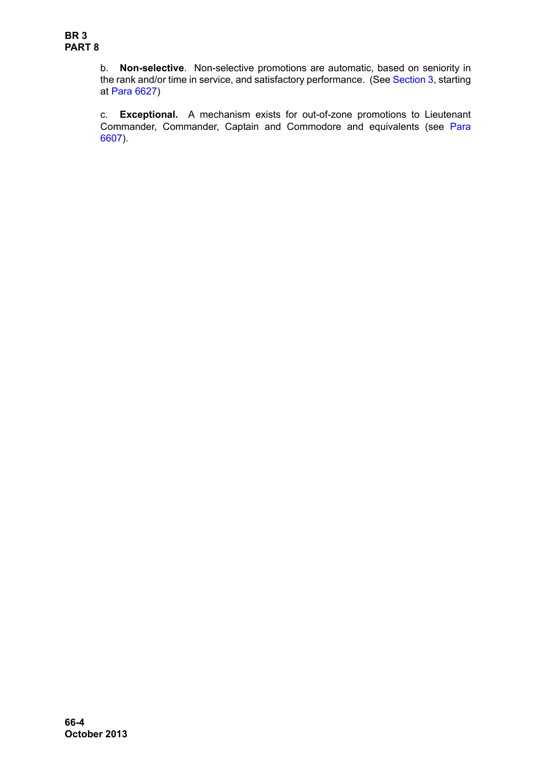b. **Non-selective**. Non-selective promotions are automatic, based on seniority in the rank and/or time in service, and satisfactory performance. (See [Section 3,](#page-14-0) starting at [Para 6627](#page-14-1))

c. **Exceptional.** A mechanism exists for out-of-zone promotions to Lieutenant Commander, Commander, Captain and Commodore and equivalents (see [Para](#page-4-3) [6607\)](#page-4-3).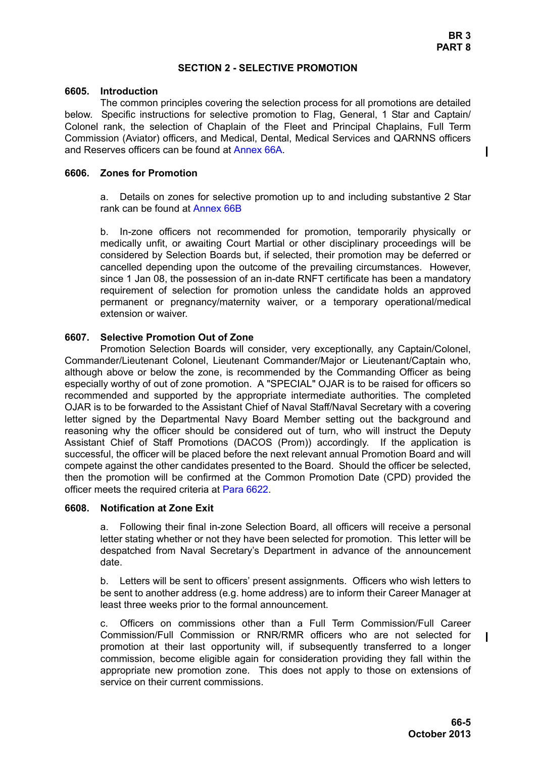$\mathbf I$ 

## **SECTION 2 - SELECTIVE PROMOTION**

#### <span id="page-4-1"></span><span id="page-4-0"></span>**6605. Introduction**

The common principles covering the selection process for all promotions are detailed below. Specific instructions for selective promotion to Flag, General, 1 Star and Captain/ Colonel rank, the selection of Chaplain of the Fleet and Principal Chaplains, Full Term Commission (Aviator) officers, and Medical, Dental, Medical Services and QARNNS officers and Reserves officers can be found at Annex 66A.

## <span id="page-4-2"></span>**6606. Zones for Promotion**

a. Details on zones for selective promotion up to and including substantive 2 Star rank can be found at Annex 66B

b. In-zone officers not recommended for promotion, temporarily physically or medically unfit, or awaiting Court Martial or other disciplinary proceedings will be considered by Selection Boards but, if selected, their promotion may be deferred or cancelled depending upon the outcome of the prevailing circumstances. However, since 1 Jan 08, the possession of an in-date RNFT certificate has been a mandatory requirement of selection for promotion unless the candidate holds an approved permanent or pregnancy/maternity waiver, or a temporary operational/medical extension or waiver.

## <span id="page-4-3"></span>**6607. Selective Promotion Out of Zone**

Promotion Selection Boards will consider, very exceptionally, any Captain/Colonel, Commander/Lieutenant Colonel, Lieutenant Commander/Major or Lieutenant/Captain who, although above or below the zone, is recommended by the Commanding Officer as being especially worthy of out of zone promotion. A "SPECIAL" OJAR is to be raised for officers so recommended and supported by the appropriate intermediate authorities. The completed OJAR is to be forwarded to the Assistant Chief of Naval Staff/Naval Secretary with a covering letter signed by the Departmental Navy Board Member setting out the background and reasoning why the officer should be considered out of turn, who will instruct the Deputy Assistant Chief of Staff Promotions (DACOS (Prom)) accordingly. If the application is successful, the officer will be placed before the next relevant annual Promotion Board and will compete against the other candidates presented to the Board. Should the officer be selected, then the promotion will be confirmed at the Common Promotion Date (CPD) provided the officer meets the required criteria at [Para 6622](#page-11-2).

## <span id="page-4-4"></span>**6608. Notification at Zone Exit**

a. Following their final in-zone Selection Board, all officers will receive a personal letter stating whether or not they have been selected for promotion. This letter will be despatched from Naval Secretary's Department in advance of the announcement date.

b. Letters will be sent to officers' present assignments. Officers who wish letters to be sent to another address (e.g. home address) are to inform their Career Manager at least three weeks prior to the formal announcement.

c. Officers on commissions other than a Full Term Commission/Full Career Commission/Full Commission or RNR/RMR officers who are not selected for promotion at their last opportunity will, if subsequently transferred to a longer commission, become eligible again for consideration providing they fall within the appropriate new promotion zone. This does not apply to those on extensions of service on their current commissions.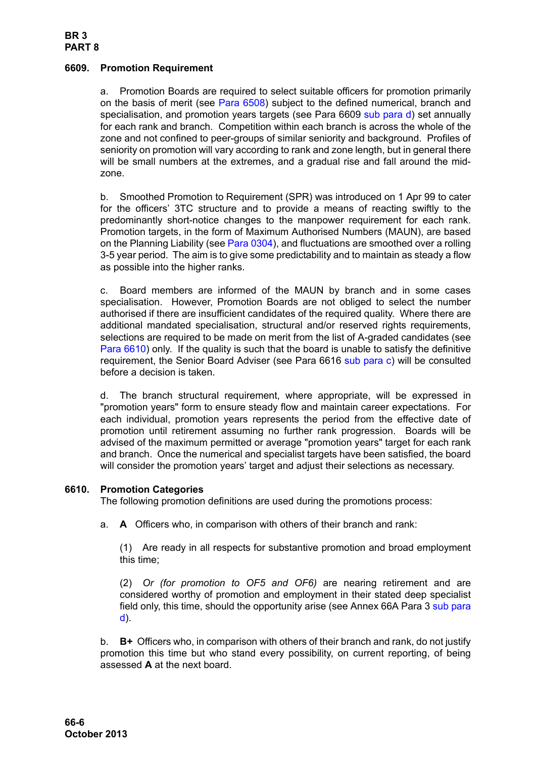# **BR 3 PART 8**

## <span id="page-5-0"></span>**6609. Promotion Requirement**

a. Promotion Boards are required to select suitable officers for promotion primarily on the basis of merit (see Para 6508) subject to the defined numerical, branch and specialisation, and promotion years targets (see [Para 6609](#page-5-0) [sub para d](#page-5-2)) set annually for each rank and branch. Competition within each branch is across the whole of the zone and not confined to peer-groups of similar seniority and background. Profiles of seniority on promotion will vary according to rank and zone length, but in general there will be small numbers at the extremes, and a gradual rise and fall around the midzone.

b. Smoothed Promotion to Requirement (SPR) was introduced on 1 Apr 99 to cater for the officers' 3TC structure and to provide a means of reacting swiftly to the predominantly short-notice changes to the manpower requirement for each rank. Promotion targets, in the form of Maximum Authorised Numbers (MAUN), are based on the Planning Liability (see Para 0304), and fluctuations are smoothed over a rolling 3-5 year period. The aim is to give some predictability and to maintain as steady a flow as possible into the higher ranks.

c. Board members are informed of the MAUN by branch and in some cases specialisation. However, Promotion Boards are not obliged to select the number authorised if there are insufficient candidates of the required quality. Where there are additional mandated specialisation, structural and/or reserved rights requirements, selections are required to be made on merit from the list of A-graded candidates (see [Para 6610](#page-5-1)) only. If the quality is such that the board is unable to satisfy the definitive requirement, the Senior Board Adviser (see [Para 6616](#page-9-0) [sub para c\)](#page-10-3) will be consulted before a decision is taken.

<span id="page-5-2"></span>d. The branch structural requirement, where appropriate, will be expressed in "promotion years" form to ensure steady flow and maintain career expectations. For each individual, promotion years represents the period from the effective date of promotion until retirement assuming no further rank progression. Boards will be advised of the maximum permitted or average "promotion years" target for each rank and branch. Once the numerical and specialist targets have been satisfied, the board will consider the promotion years' target and adjust their selections as necessary.

## <span id="page-5-1"></span>**6610. Promotion Categories**

The following promotion definitions are used during the promotions process:

a. **A** Officers who, in comparison with others of their branch and rank:

(1) Are ready in all respects for substantive promotion and broad employment this time;

(2) *Or (for promotion to OF5 and OF6)* are nearing retirement and are considered worthy of promotion and employment in their stated deep specialist field only, this time, should the opportunity arise (see Annex 66A Para 3 sub para d).

b. **B+** Officers who, in comparison with others of their branch and rank, do not justify promotion this time but who stand every possibility, on current reporting, of being assessed **A** at the next board.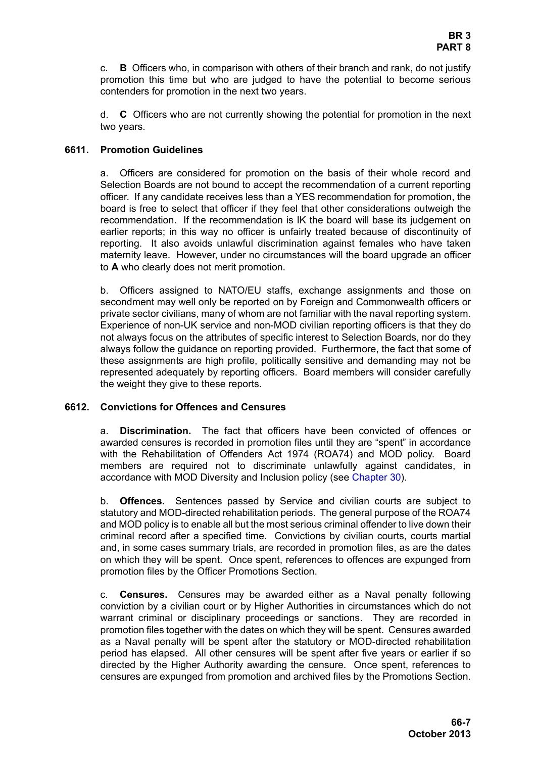c. **B** Officers who, in comparison with others of their branch and rank, do not justify promotion this time but who are judged to have the potential to become serious contenders for promotion in the next two years.

d. **C** Officers who are not currently showing the potential for promotion in the next two years.

## <span id="page-6-0"></span>**6611. Promotion Guidelines**

a. Officers are considered for promotion on the basis of their whole record and Selection Boards are not bound to accept the recommendation of a current reporting officer. If any candidate receives less than a YES recommendation for promotion, the board is free to select that officer if they feel that other considerations outweigh the recommendation. If the recommendation is IK the board will base its judgement on earlier reports; in this way no officer is unfairly treated because of discontinuity of reporting. It also avoids unlawful discrimination against females who have taken maternity leave. However, under no circumstances will the board upgrade an officer to **A** who clearly does not merit promotion.

b. Officers assigned to NATO/EU staffs, exchange assignments and those on secondment may well only be reported on by Foreign and Commonwealth officers or private sector civilians, many of whom are not familiar with the naval reporting system. Experience of non-UK service and non-MOD civilian reporting officers is that they do not always focus on the attributes of specific interest to Selection Boards, nor do they always follow the guidance on reporting provided. Furthermore, the fact that some of these assignments are high profile, politically sensitive and demanding may not be represented adequately by reporting officers. Board members will consider carefully the weight they give to these reports.

## <span id="page-6-1"></span>**6612. Convictions for Offences and Censures**

a. **Discrimination.** The fact that officers have been convicted of offences or awarded censures is recorded in promotion files until they are "spent" in accordance with the Rehabilitation of Offenders Act 1974 (ROA74) and MOD policy. Board members are required not to discriminate unlawfully against candidates, in accordance with MOD Diversity and Inclusion policy (see Chapter 30).

b. **Offences.** Sentences passed by Service and civilian courts are subject to statutory and MOD-directed rehabilitation periods. The general purpose of the ROA74 and MOD policy is to enable all but the most serious criminal offender to live down their criminal record after a specified time. Convictions by civilian courts, courts martial and, in some cases summary trials, are recorded in promotion files, as are the dates on which they will be spent. Once spent, references to offences are expunged from promotion files by the Officer Promotions Section.

c. **Censures.** Censures may be awarded either as a Naval penalty following conviction by a civilian court or by Higher Authorities in circumstances which do not warrant criminal or disciplinary proceedings or sanctions. They are recorded in promotion files together with the dates on which they will be spent. Censures awarded as a Naval penalty will be spent after the statutory or MOD-directed rehabilitation period has elapsed. All other censures will be spent after five years or earlier if so directed by the Higher Authority awarding the censure. Once spent, references to censures are expunged from promotion and archived files by the Promotions Section.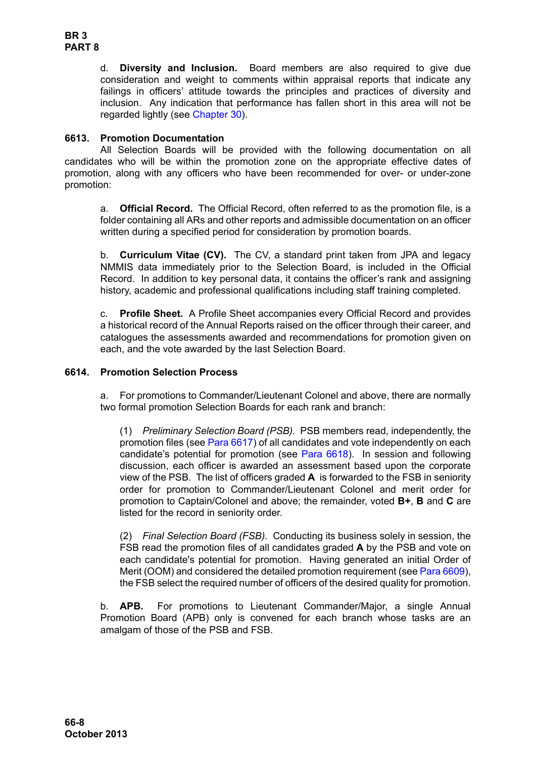d. **Diversity and Inclusion.** Board members are also required to give due consideration and weight to comments within appraisal reports that indicate any failings in officers' attitude towards the principles and practices of diversity and inclusion. Any indication that performance has fallen short in this area will not be regarded lightly (see Chapter 30).

## <span id="page-7-0"></span>**6613. Promotion Documentation**

All Selection Boards will be provided with the following documentation on all candidates who will be within the promotion zone on the appropriate effective dates of promotion, along with any officers who have been recommended for over- or under-zone promotion:

a. **Official Record.** The Official Record, often referred to as the promotion file, is a folder containing all ARs and other reports and admissible documentation on an officer written during a specified period for consideration by promotion boards.

b. **Curriculum Vitae (CV).** The CV, a standard print taken from JPA and legacy NMMIS data immediately prior to the Selection Board, is included in the Official Record. In addition to key personal data, it contains the officer's rank and assigning history, academic and professional qualifications including staff training completed.

c. **Profile Sheet.** A Profile Sheet accompanies every Official Record and provides a historical record of the Annual Reports raised on the officer through their career, and catalogues the assessments awarded and recommendations for promotion given on each, and the vote awarded by the last Selection Board.

## <span id="page-7-1"></span>**6614. Promotion Selection Process**

a. For promotions to Commander/Lieutenant Colonel and above, there are normally two formal promotion Selection Boards for each rank and branch:

(1) *Preliminary Selection Board (PSB).* PSB members read, independently, the promotion files (see [Para 6617](#page-10-0)) of all candidates and vote independently on each candidate's potential for promotion (see [Para 6618](#page-10-1)). In session and following discussion, each officer is awarded an assessment based upon the corporate view of the PSB. The list of officers graded **A** is forwarded to the FSB in seniority order for promotion to Commander/Lieutenant Colonel and merit order for promotion to Captain/Colonel and above; the remainder, voted **B+**, **B** and **C** are listed for the record in seniority order.

(2) *Final Selection Board (FSB).* Conducting its business solely in session, the FSB read the promotion files of all candidates graded **A** by the PSB and vote on each candidate's potential for promotion. Having generated an initial Order of Merit (OOM) and considered the detailed promotion requirement (see [Para 6609\)](#page-5-0), the FSB select the required number of officers of the desired quality for promotion.

b. **APB.** For promotions to Lieutenant Commander/Major, a single Annual Promotion Board (APB) only is convened for each branch whose tasks are an amalgam of those of the PSB and FSB.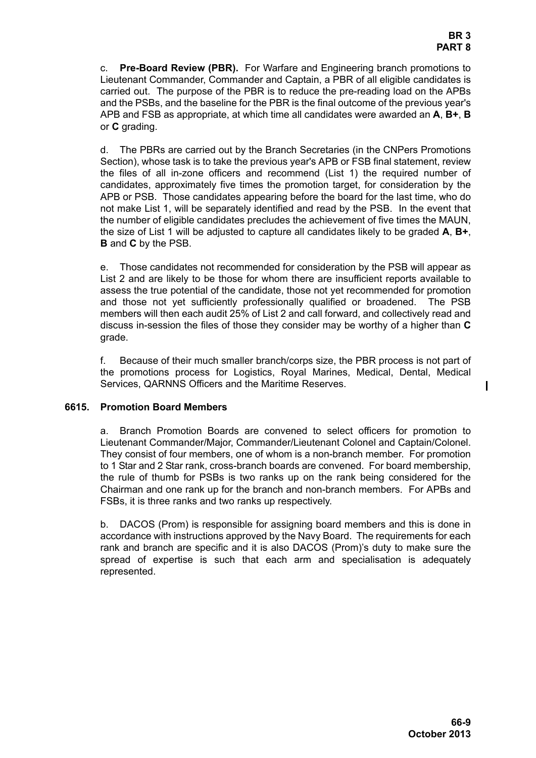c. **Pre-Board Review (PBR).** For Warfare and Engineering branch promotions to Lieutenant Commander, Commander and Captain, a PBR of all eligible candidates is carried out. The purpose of the PBR is to reduce the pre-reading load on the APBs and the PSBs, and the baseline for the PBR is the final outcome of the previous year's APB and FSB as appropriate, at which time all candidates were awarded an **A**, **B+**, **B** or **C** grading.

d. The PBRs are carried out by the Branch Secretaries (in the CNPers Promotions Section), whose task is to take the previous year's APB or FSB final statement, review the files of all in-zone officers and recommend (List 1) the required number of candidates, approximately five times the promotion target, for consideration by the APB or PSB. Those candidates appearing before the board for the last time, who do not make List 1, will be separately identified and read by the PSB. In the event that the number of eligible candidates precludes the achievement of five times the MAUN, the size of List 1 will be adjusted to capture all candidates likely to be graded **A**, **B+**, **B** and **C** by the PSB.

e. Those candidates not recommended for consideration by the PSB will appear as List 2 and are likely to be those for whom there are insufficient reports available to assess the true potential of the candidate, those not yet recommended for promotion and those not yet sufficiently professionally qualified or broadened. The PSB members will then each audit 25% of List 2 and call forward, and collectively read and discuss in-session the files of those they consider may be worthy of a higher than **C** grade.

f. Because of their much smaller branch/corps size, the PBR process is not part of the promotions process for Logistics, Royal Marines, Medical, Dental, Medical Services, QARNNS Officers and the Maritime Reserves.

## <span id="page-8-0"></span>**6615. Promotion Board Members**

a. Branch Promotion Boards are convened to select officers for promotion to Lieutenant Commander/Major, Commander/Lieutenant Colonel and Captain/Colonel. They consist of four members, one of whom is a non-branch member. For promotion to 1 Star and 2 Star rank, cross-branch boards are convened. For board membership, the rule of thumb for PSBs is two ranks up on the rank being considered for the Chairman and one rank up for the branch and non-branch members. For APBs and FSBs, it is three ranks and two ranks up respectively.

b. DACOS (Prom) is responsible for assigning board members and this is done in accordance with instructions approved by the Navy Board. The requirements for each rank and branch are specific and it is also DACOS (Prom)'s duty to make sure the spread of expertise is such that each arm and specialisation is adequately represented.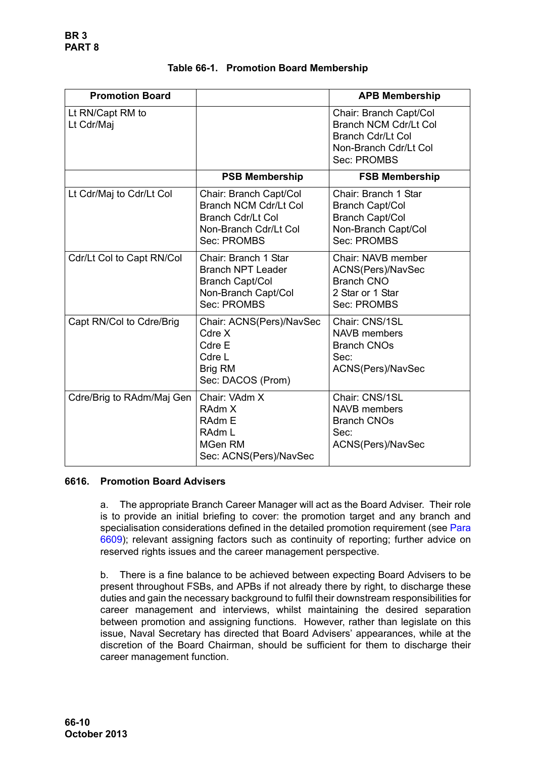| <b>Promotion Board</b>         |                                                                                                                            | <b>APB Membership</b>                                                                                                      |
|--------------------------------|----------------------------------------------------------------------------------------------------------------------------|----------------------------------------------------------------------------------------------------------------------------|
| Lt RN/Capt RM to<br>Lt Cdr/Maj |                                                                                                                            | Chair: Branch Capt/Col<br><b>Branch NCM Cdr/Lt Col</b><br><b>Branch Cdr/Lt Col</b><br>Non-Branch Cdr/Lt Col<br>Sec: PROMBS |
|                                | <b>PSB Membership</b>                                                                                                      | <b>FSB Membership</b>                                                                                                      |
| Lt Cdr/Maj to Cdr/Lt Col       | Chair: Branch Capt/Col<br><b>Branch NCM Cdr/Lt Col</b><br><b>Branch Cdr/Lt Col</b><br>Non-Branch Cdr/Lt Col<br>Sec: PROMBS | Chair: Branch 1 Star<br><b>Branch Capt/Col</b><br><b>Branch Capt/Col</b><br>Non-Branch Capt/Col<br>Sec: PROMBS             |
| Cdr/Lt Col to Capt RN/Col      | Chair: Branch 1 Star<br><b>Branch NPT Leader</b><br><b>Branch Capt/Col</b><br>Non-Branch Capt/Col<br>Sec: PROMBS           | Chair: NAVB member<br>ACNS(Pers)/NavSec<br><b>Branch CNO</b><br>2 Star or 1 Star<br>Sec: PROMBS                            |
| Capt RN/Col to Cdre/Brig       | Chair: ACNS(Pers)/NavSec<br>Cdre X<br>Cdre E<br>Cdre L<br>Brig RM<br>Sec: DACOS (Prom)                                     | Chair: CNS/1SL<br><b>NAVB</b> members<br><b>Branch CNOs</b><br>Sec:<br>ACNS(Pers)/NavSec                                   |
| Cdre/Brig to RAdm/Maj Gen      | Chair: VAdm X<br>RAdm X<br><b>RAdm E</b><br>RAdm L<br>MGen RM<br>Sec: ACNS(Pers)/NavSec                                    | Chair: CNS/1SL<br><b>NAVB</b> members<br><b>Branch CNOs</b><br>Sec:<br>ACNS(Pers)/NavSec                                   |

|  |  |  | Table 66-1. Promotion Board Membership |
|--|--|--|----------------------------------------|
|--|--|--|----------------------------------------|

## <span id="page-9-0"></span>**6616. Promotion Board Advisers**

a. The appropriate Branch Career Manager will act as the Board Adviser. Their role is to provide an initial briefing to cover: the promotion target and any branch and specialisation considerations defined in the detailed promotion requirement (see [Para](#page-5-0) [6609\)](#page-5-0); relevant assigning factors such as continuity of reporting; further advice on reserved rights issues and the career management perspective.

b. There is a fine balance to be achieved between expecting Board Advisers to be present throughout FSBs, and APBs if not already there by right, to discharge these duties and gain the necessary background to fulfil their downstream responsibilities for career management and interviews, whilst maintaining the desired separation between promotion and assigning functions. However, rather than legislate on this issue, Naval Secretary has directed that Board Advisers' appearances, while at the discretion of the Board Chairman, should be sufficient for them to discharge their career management function.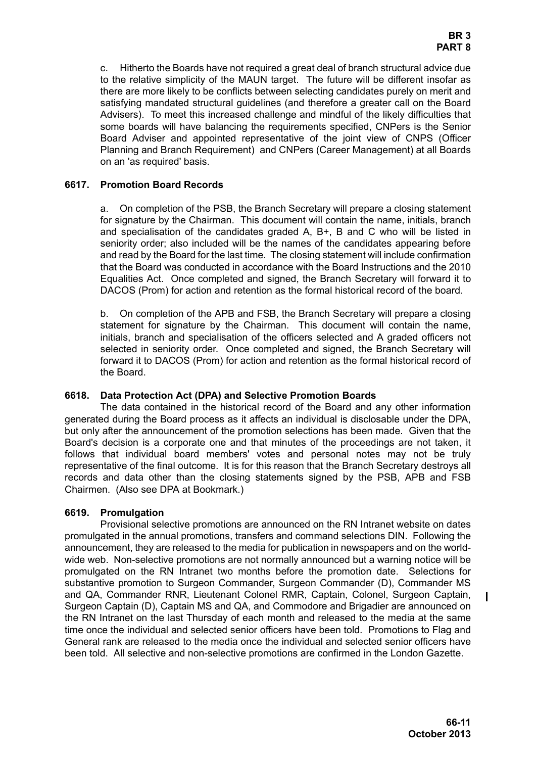<span id="page-10-3"></span>c. Hitherto the Boards have not required a great deal of branch structural advice due to the relative simplicity of the MAUN target. The future will be different insofar as there are more likely to be conflicts between selecting candidates purely on merit and satisfying mandated structural guidelines (and therefore a greater call on the Board Advisers). To meet this increased challenge and mindful of the likely difficulties that some boards will have balancing the requirements specified, CNPers is the Senior Board Adviser and appointed representative of the joint view of CNPS (Officer Planning and Branch Requirement) and CNPers (Career Management) at all Boards on an 'as required' basis.

## <span id="page-10-0"></span>**6617. Promotion Board Records**

a. On completion of the PSB, the Branch Secretary will prepare a closing statement for signature by the Chairman. This document will contain the name, initials, branch and specialisation of the candidates graded A, B+, B and C who will be listed in seniority order; also included will be the names of the candidates appearing before and read by the Board for the last time. The closing statement will include confirmation that the Board was conducted in accordance with the Board Instructions and the 2010 Equalities Act. Once completed and signed, the Branch Secretary will forward it to DACOS (Prom) for action and retention as the formal historical record of the board.

b. On completion of the APB and FSB, the Branch Secretary will prepare a closing statement for signature by the Chairman. This document will contain the name, initials, branch and specialisation of the officers selected and A graded officers not selected in seniority order. Once completed and signed, the Branch Secretary will forward it to DACOS (Prom) for action and retention as the formal historical record of the Board.

## <span id="page-10-1"></span>**6618. Data Protection Act (DPA) and Selective Promotion Boards**

The data contained in the historical record of the Board and any other information generated during the Board process as it affects an individual is disclosable under the DPA, but only after the announcement of the promotion selections has been made. Given that the Board's decision is a corporate one and that minutes of the proceedings are not taken, it follows that individual board members' votes and personal notes may not be truly representative of the final outcome. It is for this reason that the Branch Secretary destroys all records and data other than the closing statements signed by the PSB, APB and FSB Chairmen. (Also see DPA at Bookmark.)

## <span id="page-10-2"></span>**6619. Promulgation**

Provisional selective promotions are announced on the RN Intranet website on dates promulgated in the annual promotions, transfers and command selections DIN. Following the announcement, they are released to the media for publication in newspapers and on the worldwide web. Non-selective promotions are not normally announced but a warning notice will be promulgated on the RN Intranet two months before the promotion date. Selections for substantive promotion to Surgeon Commander, Surgeon Commander (D), Commander MS and QA, Commander RNR, Lieutenant Colonel RMR, Captain, Colonel, Surgeon Captain, Surgeon Captain (D), Captain MS and QA, and Commodore and Brigadier are announced on the RN Intranet on the last Thursday of each month and released to the media at the same time once the individual and selected senior officers have been told. Promotions to Flag and General rank are released to the media once the individual and selected senior officers have been told. All selective and non-selective promotions are confirmed in the London Gazette.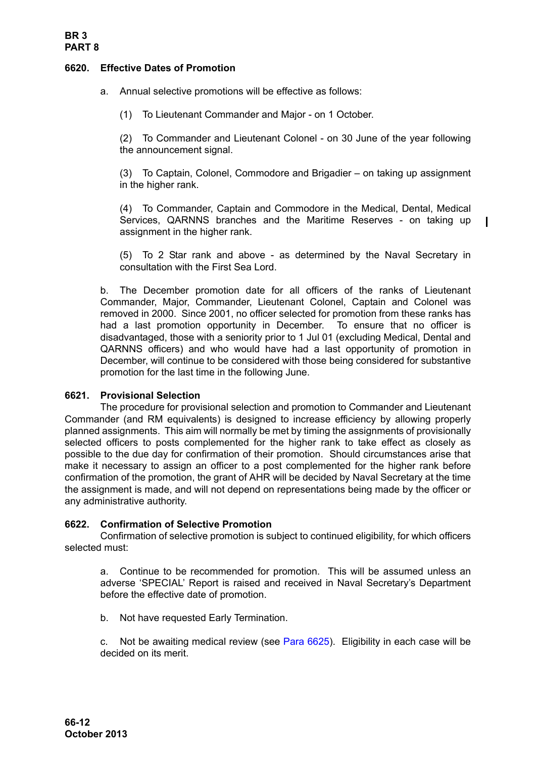## <span id="page-11-0"></span>**6620. Effective Dates of Promotion**

a. Annual selective promotions will be effective as follows:

(1) To Lieutenant Commander and Major - on 1 October.

(2) To Commander and Lieutenant Colonel - on 30 June of the year following the announcement signal.

(3) To Captain, Colonel, Commodore and Brigadier – on taking up assignment in the higher rank.

(4) To Commander, Captain and Commodore in the Medical, Dental, Medical Services, QARNNS branches and the Maritime Reserves - on taking up assignment in the higher rank.

T

(5) To 2 Star rank and above - as determined by the Naval Secretary in consultation with the First Sea Lord.

b. The December promotion date for all officers of the ranks of Lieutenant Commander, Major, Commander, Lieutenant Colonel, Captain and Colonel was removed in 2000. Since 2001, no officer selected for promotion from these ranks has had a last promotion opportunity in December. To ensure that no officer is disadvantaged, those with a seniority prior to 1 Jul 01 (excluding Medical, Dental and QARNNS officers) and who would have had a last opportunity of promotion in December, will continue to be considered with those being considered for substantive promotion for the last time in the following June.

## <span id="page-11-1"></span>**6621. Provisional Selection**

The procedure for provisional selection and promotion to Commander and Lieutenant Commander (and RM equivalents) is designed to increase efficiency by allowing properly planned assignments. This aim will normally be met by timing the assignments of provisionally selected officers to posts complemented for the higher rank to take effect as closely as possible to the due day for confirmation of their promotion. Should circumstances arise that make it necessary to assign an officer to a post complemented for the higher rank before confirmation of the promotion, the grant of AHR will be decided by Naval Secretary at the time the assignment is made, and will not depend on representations being made by the officer or any administrative authority.

## <span id="page-11-2"></span>**6622. Confirmation of Selective Promotion**

Confirmation of selective promotion is subject to continued eligibility, for which officers selected must:

a. Continue to be recommended for promotion. This will be assumed unless an adverse 'SPECIAL' Report is raised and received in Naval Secretary's Department before the effective date of promotion.

b. Not have requested Early Termination.

c. Not be awaiting medical review (see [Para 6625](#page-12-2)). Eligibility in each case will be decided on its merit.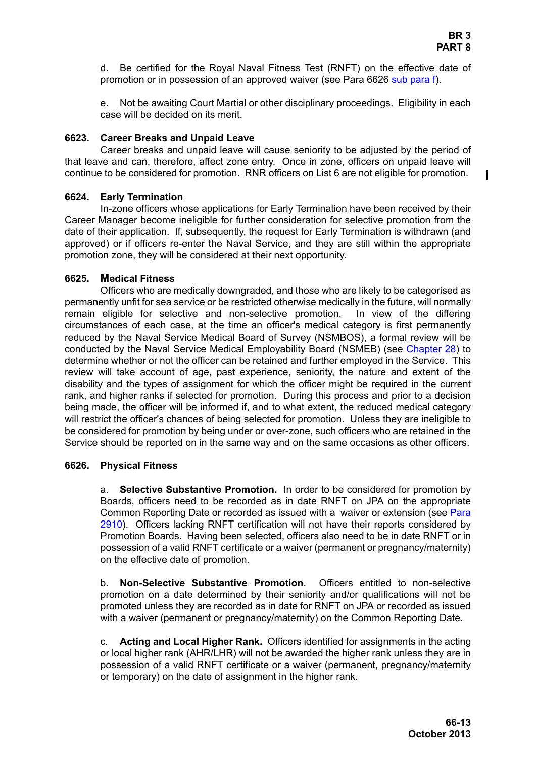d. Be certified for the Royal Naval Fitness Test (RNFT) on the effective date of promotion or in possession of an approved waiver (see [Para 6626](#page-12-3) [sub para f\)](#page-13-0).

e. Not be awaiting Court Martial or other disciplinary proceedings. Eligibility in each case will be decided on its merit.

## <span id="page-12-0"></span>**6623. Career Breaks and Unpaid Leave**

Career breaks and unpaid leave will cause seniority to be adjusted by the period of that leave and can, therefore, affect zone entry. Once in zone, officers on unpaid leave will continue to be considered for promotion. RNR officers on List 6 are not eligible for promotion.

## <span id="page-12-1"></span>**6624. Early Termination**

In-zone officers whose applications for Early Termination have been received by their Career Manager become ineligible for further consideration for selective promotion from the date of their application. If, subsequently, the request for Early Termination is withdrawn (and approved) or if officers re-enter the Naval Service, and they are still within the appropriate promotion zone, they will be considered at their next opportunity.

## <span id="page-12-2"></span>**6625. Medical Fitness**

Officers who are medically downgraded, and those who are likely to be categorised as permanently unfit for sea service or be restricted otherwise medically in the future, will normally remain eligible for selective and non-selective promotion. In view of the differing circumstances of each case, at the time an officer's medical category is first permanently reduced by the Naval Service Medical Board of Survey (NSMBOS), a formal review will be conducted by the Naval Service Medical Employability Board (NSMEB) (see Chapter 28) to determine whether or not the officer can be retained and further employed in the Service. This review will take account of age, past experience, seniority, the nature and extent of the disability and the types of assignment for which the officer might be required in the current rank, and higher ranks if selected for promotion. During this process and prior to a decision being made, the officer will be informed if, and to what extent, the reduced medical category will restrict the officer's chances of being selected for promotion. Unless they are ineligible to be considered for promotion by being under or over-zone, such officers who are retained in the Service should be reported on in the same way and on the same occasions as other officers.

## <span id="page-12-3"></span>**6626. Physical Fitness**

a. **Selective Substantive Promotion.** In order to be considered for promotion by Boards, officers need to be recorded as in date RNFT on JPA on the appropriate Common Reporting Date or recorded as issued with a waiver or extension (see Para 2910). Officers lacking RNFT certification will not have their reports considered by Promotion Boards. Having been selected, officers also need to be in date RNFT or in possession of a valid RNFT certificate or a waiver (permanent or pregnancy/maternity) on the effective date of promotion.

b. **Non-Selective Substantive Promotion**. Officers entitled to non-selective promotion on a date determined by their seniority and/or qualifications will not be promoted unless they are recorded as in date for RNFT on JPA or recorded as issued with a waiver (permanent or pregnancy/maternity) on the Common Reporting Date.

c. **Acting and Local Higher Rank.** Officers identified for assignments in the acting or local higher rank (AHR/LHR) will not be awarded the higher rank unless they are in possession of a valid RNFT certificate or a waiver (permanent, pregnancy/maternity or temporary) on the date of assignment in the higher rank.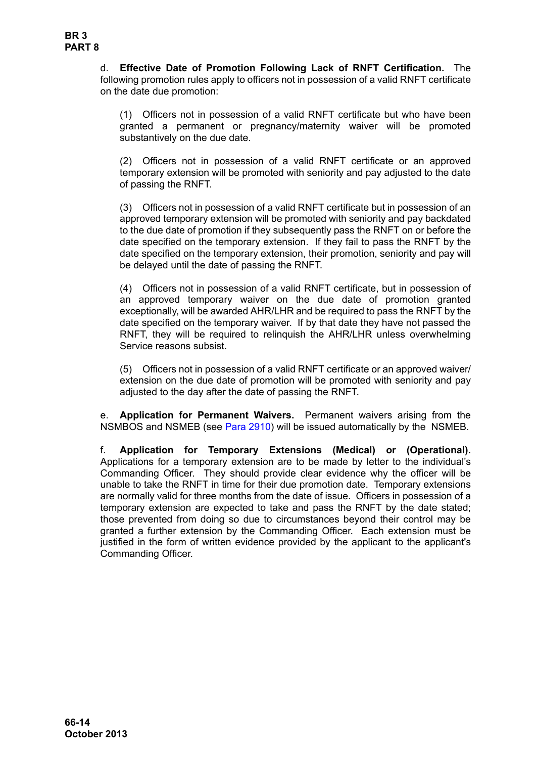d. **Effective Date of Promotion Following Lack of RNFT Certification.** The following promotion rules apply to officers not in possession of a valid RNFT certificate on the date due promotion:

(1) Officers not in possession of a valid RNFT certificate but who have been granted a permanent or pregnancy/maternity waiver will be promoted substantively on the due date.

(2) Officers not in possession of a valid RNFT certificate or an approved temporary extension will be promoted with seniority and pay adjusted to the date of passing the RNFT.

(3) Officers not in possession of a valid RNFT certificate but in possession of an approved temporary extension will be promoted with seniority and pay backdated to the due date of promotion if they subsequently pass the RNFT on or before the date specified on the temporary extension. If they fail to pass the RNFT by the date specified on the temporary extension, their promotion, seniority and pay will be delayed until the date of passing the RNFT.

(4) Officers not in possession of a valid RNFT certificate, but in possession of an approved temporary waiver on the due date of promotion granted exceptionally, will be awarded AHR/LHR and be required to pass the RNFT by the date specified on the temporary waiver. If by that date they have not passed the RNFT, they will be required to relinquish the AHR/LHR unless overwhelming Service reasons subsist.

(5) Officers not in possession of a valid RNFT certificate or an approved waiver/ extension on the due date of promotion will be promoted with seniority and pay adjusted to the day after the date of passing the RNFT.

e. **Application for Permanent Waivers.** Permanent waivers arising from the NSMBOS and NSMEB (see Para 2910) will be issued automatically by the NSMEB.

<span id="page-13-0"></span>f. **Application for Temporary Extensions (Medical) or (Operational).** Applications for a temporary extension are to be made by letter to the individual's Commanding Officer. They should provide clear evidence why the officer will be unable to take the RNFT in time for their due promotion date. Temporary extensions are normally valid for three months from the date of issue. Officers in possession of a temporary extension are expected to take and pass the RNFT by the date stated; those prevented from doing so due to circumstances beyond their control may be granted a further extension by the Commanding Officer. Each extension must be justified in the form of written evidence provided by the applicant to the applicant's Commanding Officer.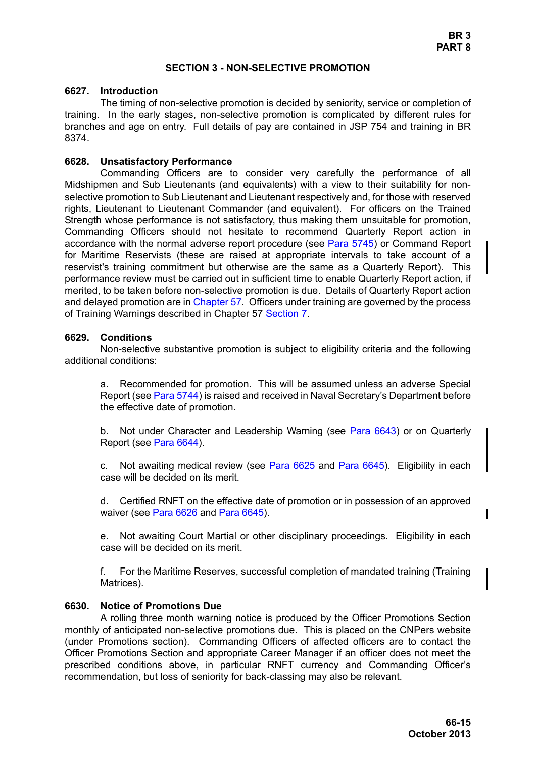#### **SECTION 3 - NON-SELECTIVE PROMOTION**

#### <span id="page-14-1"></span><span id="page-14-0"></span>**6627. Introduction**

The timing of non-selective promotion is decided by seniority, service or completion of training. In the early stages, non-selective promotion is complicated by different rules for branches and age on entry. Full details of pay are contained in JSP 754 and training in BR 8374.

#### <span id="page-14-2"></span>**6628. Unsatisfactory Performance**

Commanding Officers are to consider very carefully the performance of all Midshipmen and Sub Lieutenants (and equivalents) with a view to their suitability for nonselective promotion to Sub Lieutenant and Lieutenant respectively and, for those with reserved rights, Lieutenant to Lieutenant Commander (and equivalent). For officers on the Trained Strength whose performance is not satisfactory, thus making them unsuitable for promotion, Commanding Officers should not hesitate to recommend Quarterly Report action in accordance with the normal adverse report procedure (see Para 5745) or Command Report for Maritime Reservists (these are raised at appropriate intervals to take account of a reservist's training commitment but otherwise are the same as a Quarterly Report). This performance review must be carried out in sufficient time to enable Quarterly Report action, if merited, to be taken before non-selective promotion is due. Details of Quarterly Report action and delayed promotion are in Chapter 57. Officers under training are governed by the process of Training Warnings described in Chapter 57 Section 7.

#### <span id="page-14-3"></span>**6629. Conditions**

Non-selective substantive promotion is subject to eligibility criteria and the following additional conditions:

a. Recommended for promotion. This will be assumed unless an adverse Special Report (see Para 5744) is raised and received in Naval Secretary's Department before the effective date of promotion.

b. Not under Character and Leadership Warning (see [Para 6643](#page-21-1)) or on Quarterly Report (see [Para 6644\)](#page-21-2).

c. Not awaiting medical review (see [Para 6625](#page-12-2) and [Para 6645](#page-22-0)). Eligibility in each case will be decided on its merit.

d. Certified RNFT on the effective date of promotion or in possession of an approved waiver (see [Para 6626](#page-12-3) and [Para 6645](#page-22-0)).

e. Not awaiting Court Martial or other disciplinary proceedings. Eligibility in each case will be decided on its merit.

f. For the Maritime Reserves, successful completion of mandated training (Training Matrices).

#### <span id="page-14-4"></span>**6630. Notice of Promotions Due**

A rolling three month warning notice is produced by the Officer Promotions Section monthly of anticipated non-selective promotions due. This is placed on the CNPers website (under Promotions section). Commanding Officers of affected officers are to contact the Officer Promotions Section and appropriate Career Manager if an officer does not meet the prescribed conditions above, in particular RNFT currency and Commanding Officer's recommendation, but loss of seniority for back-classing may also be relevant.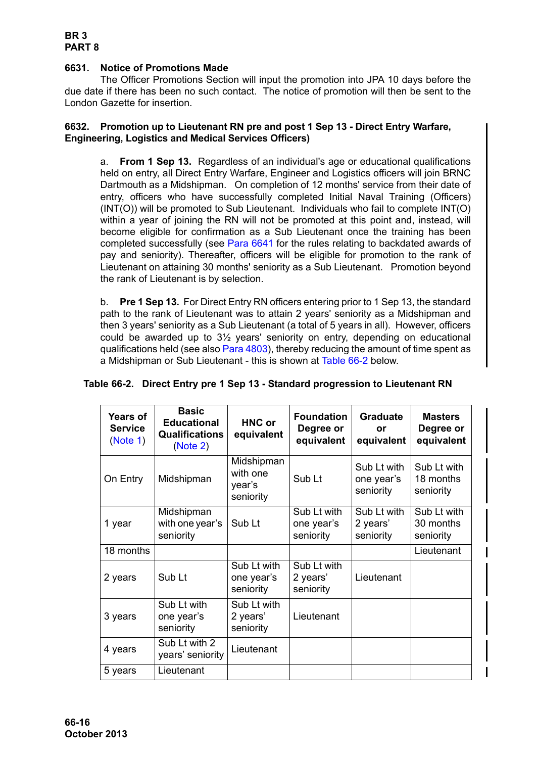## <span id="page-15-0"></span>**6631. Notice of Promotions Made**

The Officer Promotions Section will input the promotion into JPA 10 days before the due date if there has been no such contact. The notice of promotion will then be sent to the London Gazette for insertion.

## <span id="page-15-3"></span><span id="page-15-1"></span>**6632. Promotion up to Lieutenant RN pre and post 1 Sep 13 - Direct Entry Warfare, Engineering, Logistics and Medical Services Officers)**

a. **From 1 Sep 13.** Regardless of an individual's age or educational qualifications held on entry, all Direct Entry Warfare, Engineer and Logistics officers will join BRNC Dartmouth as a Midshipman. On completion of 12 months' service from their date of entry, officers who have successfully completed Initial Naval Training (Officers) (INT(O)) will be promoted to Sub Lieutenant. Individuals who fail to complete INT(O) within a year of joining the RN will not be promoted at this point and, instead, will become eligible for confirmation as a Sub Lieutenant once the training has been completed successfully (see [Para 6641](#page-20-0) for the rules relating to backdated awards of pay and seniority). Thereafter, officers will be eligible for promotion to the rank of Lieutenant on attaining 30 months' seniority as a Sub Lieutenant. Promotion beyond the rank of Lieutenant is by selection.

b. **Pre 1 Sep 13.** For Direct Entry RN officers entering prior to 1 Sep 13, the standard path to the rank of Lieutenant was to attain 2 years' seniority as a Midshipman and then 3 years' seniority as a Sub Lieutenant (a total of 5 years in all). However, officers could be awarded up to 3½ years' seniority on entry, depending on educational qualifications held (see also Para 4803), thereby reducing the amount of time spent as a Midshipman or Sub Lieutenant - this is shown at [Table 66-2](#page-15-2) below.

| <b>Years of</b><br><b>Service</b><br>(Note 1) | <b>Basic</b><br><b>Educational</b><br>Qualifications<br>(Note 2) | <b>HNC or</b><br>equivalent                   | <b>Foundation</b><br>Degree or<br>equivalent | <b>Graduate</b><br>or<br>equivalent    | <b>Masters</b><br>Degree or<br>equivalent |
|-----------------------------------------------|------------------------------------------------------------------|-----------------------------------------------|----------------------------------------------|----------------------------------------|-------------------------------------------|
| On Entry                                      | Midshipman                                                       | Midshipman<br>with one<br>year's<br>seniority | Sub Lt                                       | Sub Lt with<br>one year's<br>seniority | Sub Lt with<br>18 months<br>seniority     |
| 1 year                                        | Midshipman<br>with one year's<br>seniority                       | Sub Lt                                        | Sub Lt with<br>one year's<br>seniority       | Sub Lt with<br>2 years'<br>seniority   | Sub Lt with<br>30 months<br>seniority     |
| 18 months                                     |                                                                  |                                               |                                              |                                        | Lieutenant                                |
| 2 years                                       | Sub Lt                                                           | Sub Lt with<br>one year's<br>seniority        | Sub Lt with<br>2 years'<br>seniority         | Lieutenant                             |                                           |
| 3 years                                       | Sub Lt with<br>one year's<br>seniority                           | Sub Lt with<br>2 years'<br>seniority          | Lieutenant                                   |                                        |                                           |
| 4 years                                       | Sub Lt with 2<br>years' seniority                                | Lieutenant                                    |                                              |                                        |                                           |
| 5 years                                       | Lieutenant                                                       |                                               |                                              |                                        |                                           |

## <span id="page-15-2"></span>**Table 66-2. Direct Entry pre 1 Sep 13 - Standard progression to Lieutenant RN**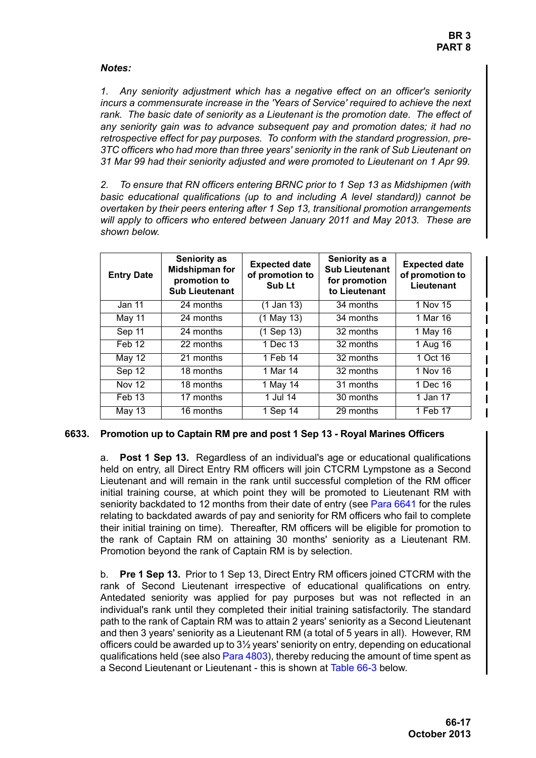## *Notes:*

<span id="page-16-1"></span>*1. Any seniority adjustment which has a negative effect on an officer's seniority incurs a commensurate increase in the 'Years of Service' required to achieve the next rank. The basic date of seniority as a Lieutenant is the promotion date. The effect of any seniority gain was to advance subsequent pay and promotion dates; it had no retrospective effect for pay purposes. To conform with the standard progression, pre-3TC officers who had more than three years' seniority in the rank of Sub Lieutenant on 31 Mar 99 had their seniority adjusted and were promoted to Lieutenant on 1 Apr 99.*

<span id="page-16-2"></span>*2. To ensure that RN officers entering BRNC prior to 1 Sep 13 as Midshipmen (with basic educational qualifications (up to and including A level standard)) cannot be overtaken by their peers entering after 1 Sep 13, transitional promotion arrangements will apply to officers who entered between January 2011 and May 2013. These are shown below.*

| <b>Entry Date</b> | <b>Seniority as</b><br><b>Midshipman for</b><br>promotion to<br><b>Sub Lieutenant</b> | <b>Expected date</b><br>of promotion to<br>Sub Lt | Seniority as a<br><b>Sub Lieutenant</b><br>for promotion<br>to Lieutenant | <b>Expected date</b><br>of promotion to<br>Lieutenant |
|-------------------|---------------------------------------------------------------------------------------|---------------------------------------------------|---------------------------------------------------------------------------|-------------------------------------------------------|
| Jan 11            | 24 months                                                                             | $(1$ Jan 13)                                      | 34 months                                                                 | 1 Nov 15                                              |
| May 11            | 24 months                                                                             | (1 May 13)                                        | 34 months                                                                 | 1 Mar 16                                              |
| Sep 11            | 24 months                                                                             | (1 Sep 13)                                        | 32 months                                                                 | 1 May 16                                              |
| Feb 12            | 22 months                                                                             | 1 Dec 13                                          | 32 months                                                                 | 1 Aug 16                                              |
| May 12            | 21 months                                                                             | 1 Feb 14                                          | 32 months                                                                 | 1 Oct 16                                              |
| Sep 12            | 18 months                                                                             | 1 Mar 14                                          | 32 months                                                                 | 1 Nov 16                                              |
| <b>Nov 12</b>     | 18 months                                                                             | 1 May 14                                          | 31 months                                                                 | 1 Dec 16                                              |
| Feb 13            | 17 months                                                                             | 1 Jul 14                                          | 30 months                                                                 | 1 Jan 17                                              |
| May 13            | 16 months                                                                             | 1 Sep 14                                          | 29 months                                                                 | 1 Feb 17                                              |

## <span id="page-16-3"></span><span id="page-16-0"></span>**6633. Promotion up to Captain RM pre and post 1 Sep 13 - Royal Marines Officers**

a. **Post 1 Sep 13.** Regardless of an individual's age or educational qualifications held on entry, all Direct Entry RM officers will join CTCRM Lympstone as a Second Lieutenant and will remain in the rank until successful completion of the RM officer initial training course, at which point they will be promoted to Lieutenant RM with seniority backdated to 12 months from their date of entry (see [Para 6641](#page-20-0) for the rules relating to backdated awards of pay and seniority for RM officers who fail to complete their initial training on time). Thereafter, RM officers will be eligible for promotion to the rank of Captain RM on attaining 30 months' seniority as a Lieutenant RM. Promotion beyond the rank of Captain RM is by selection.

b. **Pre 1 Sep 13.** Prior to 1 Sep 13, Direct Entry RM officers joined CTCRM with the rank of Second Lieutenant irrespective of educational qualifications on entry. Antedated seniority was applied for pay purposes but was not reflected in an individual's rank until they completed their initial training satisfactorily. The standard path to the rank of Captain RM was to attain 2 years' seniority as a Second Lieutenant and then 3 years' seniority as a Lieutenant RM (a total of 5 years in all). However, RM officers could be awarded up to 3½ years' seniority on entry, depending on educational qualifications held (see also Para 4803), thereby reducing the amount of time spent as a Second Lieutenant or Lieutenant - this is shown at [Table 66-3](#page-17-1) below.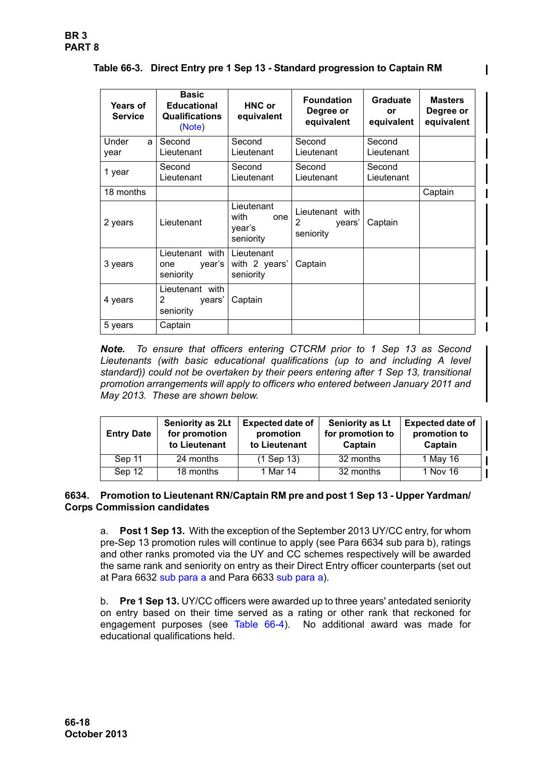<span id="page-17-1"></span>

|  | Table 66-3. Direct Entry pre 1 Sep 13 - Standard progression to Captain RM |  |  |  |  |
|--|----------------------------------------------------------------------------|--|--|--|--|
|--|----------------------------------------------------------------------------|--|--|--|--|

| <b>Years of</b><br><b>Service</b> | <b>Basic</b><br><b>Educational</b><br>Qualifications<br>(Note) | <b>HNC or</b><br>equivalent                      | <b>Foundation</b><br>Degree or<br>equivalent | <b>Graduate</b><br>or<br>equivalent | <b>Masters</b><br>Degree or<br>equivalent |
|-----------------------------------|----------------------------------------------------------------|--------------------------------------------------|----------------------------------------------|-------------------------------------|-------------------------------------------|
| Under<br>a<br>year                | Second<br>Lieutenant                                           | Second<br>Lieutenant                             | Second<br>Lieutenant                         | Second<br>Lieutenant                |                                           |
| 1 year                            | Second<br>Lieutenant                                           | Second<br>Lieutenant                             | Second<br>Lieutenant                         | Second<br>Lieutenant                |                                           |
| 18 months                         |                                                                |                                                  |                                              |                                     | Captain                                   |
| 2 years                           | Lieutenant                                                     | Lieutenant<br>with<br>one<br>year's<br>seniority | Lieutenant with<br>2<br>years'<br>seniority  | Captain                             |                                           |
| 3 years                           | Lieutenant with<br>year's<br>one<br>seniority                  | Lieutenant<br>with 2 years'<br>seniority         | Captain                                      |                                     |                                           |
| 4 years                           | Lieutenant with<br>2<br>years'<br>seniority                    | Captain                                          |                                              |                                     |                                           |
| 5 years                           | Captain                                                        |                                                  |                                              |                                     |                                           |

<span id="page-17-2"></span>*Note. To ensure that officers entering CTCRM prior to 1 Sep 13 as Second Lieutenants (with basic educational qualifications (up to and including A level standard)) could not be overtaken by their peers entering after 1 Sep 13, transitional promotion arrangements will apply to officers who entered between January 2011 and May 2013. These are shown below.* 

| <b>Entry Date</b> | Seniority as 2Lt<br>for promotion<br>to Lieutenant | <b>Expected date of</b><br>promotion<br>to Lieutenant | Seniority as Lt<br>for promotion to<br>Captain | <b>Expected date of</b><br>promotion to<br>Captain |
|-------------------|----------------------------------------------------|-------------------------------------------------------|------------------------------------------------|----------------------------------------------------|
| Sep 11            | 24 months                                          | $(1$ Sep 13)                                          | 32 months                                      | 1 May 16                                           |
| Sep 12            | 18 months                                          | 1 Mar 14                                              | 32 months                                      | 1 Nov 16                                           |

## <span id="page-17-0"></span>**6634. Promotion to Lieutenant RN/Captain RM pre and post 1 Sep 13 - Upper Yardman/ Corps Commission candidates**

a. **Post 1 Sep 13.** With the exception of the September 2013 UY/CC entry, for whom pre-Sep 13 promotion rules will continue to apply (see Para 6634 sub para b), ratings and other ranks promoted via the UY and CC schemes respectively will be awarded the same rank and seniority on entry as their Direct Entry officer counterparts (set out at [Para 6632](#page-15-1) [sub para a](#page-15-3) and [Para 6633](#page-16-0) [sub para a](#page-16-3)).

b. **Pre 1 Sep 13.** UY/CC officers were awarded up to three years' antedated seniority on entry based on their time served as a rating or other rank that reckoned for engagement purposes (see [Table 66-4\)](#page-18-1). No additional award was made for educational qualifications held.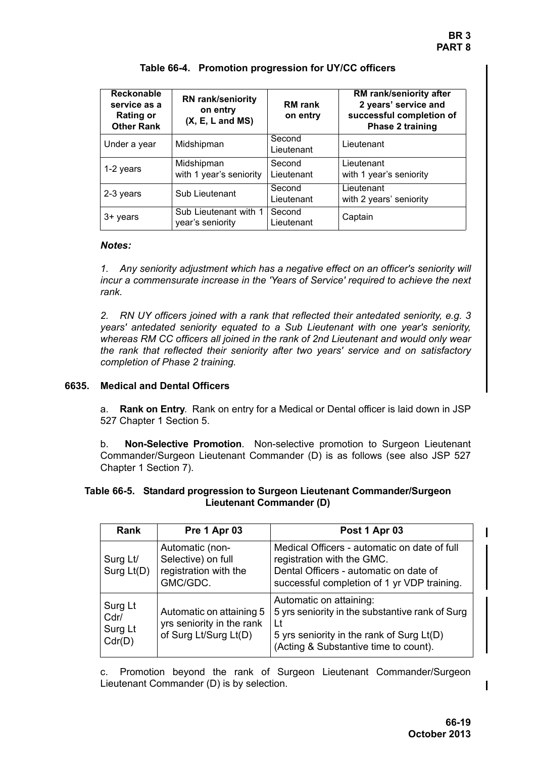<span id="page-18-1"></span>

| Reckonable<br>service as a<br><b>Rating or</b><br><b>Other Rank</b> | <b>RN</b> rank/seniority<br>on entry<br>$(X, E, L \text{ and MS})$ | <b>RM</b> rank<br>on entry | RM rank/seniority after<br>2 years' service and<br>successful completion of<br>Phase 2 training |
|---------------------------------------------------------------------|--------------------------------------------------------------------|----------------------------|-------------------------------------------------------------------------------------------------|
| Under a year                                                        | Midshipman                                                         | Second<br>Lieutenant       | Lieutenant                                                                                      |
| 1-2 years                                                           | Midshipman<br>with 1 year's seniority                              | Second<br>Lieutenant       | Lieutenant<br>with 1 year's seniority                                                           |
| 2-3 years                                                           | Sub Lieutenant                                                     | Second<br>Lieutenant       | Lieutenant<br>with 2 years' seniority                                                           |
| 3+ years                                                            | Sub Lieutenant with 1<br>year's seniority                          | Second<br>Lieutenant       | Captain                                                                                         |

## **Table 66-4. Promotion progression for UY/CC officers**

## *Notes:*

*1. Any seniority adjustment which has a negative effect on an officer's seniority will incur a commensurate increase in the 'Years of Service' required to achieve the next rank.*

*2. RN UY officers joined with a rank that reflected their antedated seniority, e.g. 3 years' antedated seniority equated to a Sub Lieutenant with one year's seniority, whereas RM CC officers all joined in the rank of 2nd Lieutenant and would only wear the rank that reflected their seniority after two years' service and on satisfactory completion of Phase 2 training.*

## <span id="page-18-0"></span>**6635. Medical and Dental Officers**

a. **Rank on Entry**.Rank on entry for a Medical or Dental officer is laid down in JSP 527 Chapter 1 Section 5.

b. **Non-Selective Promotion**.Non-selective promotion to Surgeon Lieutenant Commander/Surgeon Lieutenant Commander (D) is as follows (see also JSP 527 Chapter 1 Section 7).

## **Table 66-5. Standard progression to Surgeon Lieutenant Commander/Surgeon Lieutenant Commander (D)**

| <b>Rank</b>                          | Pre 1 Apr 03                                                                   | Post 1 Apr 03                                                                                                                                                           |
|--------------------------------------|--------------------------------------------------------------------------------|-------------------------------------------------------------------------------------------------------------------------------------------------------------------------|
| Surg Lt/<br>Surg Lt(D)               | Automatic (non-<br>Selective) on full<br>registration with the<br>GMC/GDC.     | Medical Officers - automatic on date of full<br>registration with the GMC.<br>Dental Officers - automatic on date of<br>successful completion of 1 yr VDP training.     |
| Surg Lt<br>Cdr/<br>Surg Lt<br>Cdr(D) | Automatic on attaining 5<br>yrs seniority in the rank<br>of Surg Lt/Surg Lt(D) | Automatic on attaining:<br>5 yrs seniority in the substantive rank of Surg<br>l t<br>5 yrs seniority in the rank of Surg Lt(D)<br>(Acting & Substantive time to count). |

c. Promotion beyond the rank of Surgeon Lieutenant Commander/Surgeon Lieutenant Commander (D) is by selection.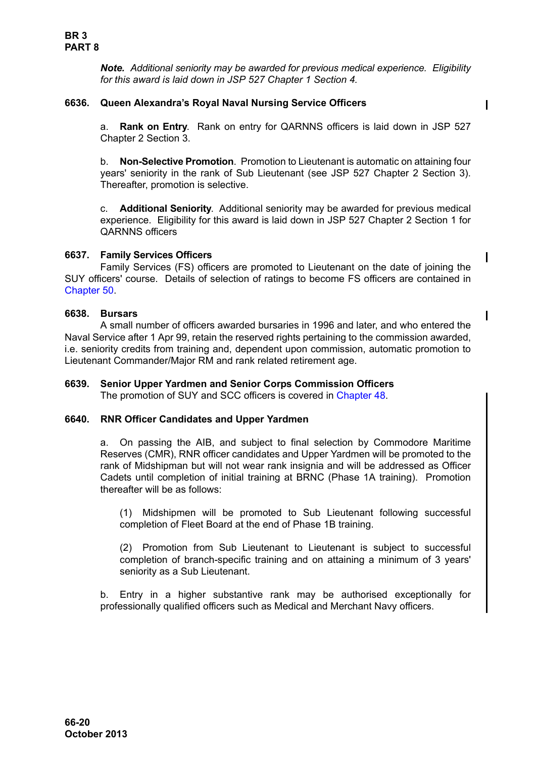*Note. Additional seniority may be awarded for previous medical experience. Eligibility for this award is laid down in JSP 527 Chapter 1 Section 4.*

## <span id="page-19-0"></span>**6636. Queen Alexandra's Royal Naval Nursing Service Officers**

a. **Rank on Entry**. Rank on entry for QARNNS officers is laid down in JSP 527 Chapter 2 Section 3.

b. **Non-Selective Promotion**. Promotion to Lieutenant is automatic on attaining four years' seniority in the rank of Sub Lieutenant (see JSP 527 Chapter 2 Section 3). Thereafter, promotion is selective.

c. **Additional Seniority**. Additional seniority may be awarded for previous medical experience. Eligibility for this award is laid down in JSP 527 Chapter 2 Section 1 for QARNNS officers

## <span id="page-19-1"></span>**6637. Family Services Officers**

Family Services (FS) officers are promoted to Lieutenant on the date of joining the SUY officers' course. Details of selection of ratings to become FS officers are contained in Chapter 50.

#### <span id="page-19-2"></span>**6638. Bursars**

A small number of officers awarded bursaries in 1996 and later, and who entered the Naval Service after 1 Apr 99, retain the reserved rights pertaining to the commission awarded, i.e. seniority credits from training and, dependent upon commission, automatic promotion to Lieutenant Commander/Major RM and rank related retirement age.

## <span id="page-19-3"></span>**6639. Senior Upper Yardmen and Senior Corps Commission Officers**

The promotion of SUY and SCC officers is covered in Chapter 48.

## <span id="page-19-4"></span>**6640. RNR Officer Candidates and Upper Yardmen**

a. On passing the AIB, and subject to final selection by Commodore Maritime Reserves (CMR), RNR officer candidates and Upper Yardmen will be promoted to the rank of Midshipman but will not wear rank insignia and will be addressed as Officer Cadets until completion of initial training at BRNC (Phase 1A training). Promotion thereafter will be as follows:

(1) Midshipmen will be promoted to Sub Lieutenant following successful completion of Fleet Board at the end of Phase 1B training.

(2) Promotion from Sub Lieutenant to Lieutenant is subject to successful completion of branch-specific training and on attaining a minimum of 3 years' seniority as a Sub Lieutenant.

b. Entry in a higher substantive rank may be authorised exceptionally for professionally qualified officers such as Medical and Merchant Navy officers.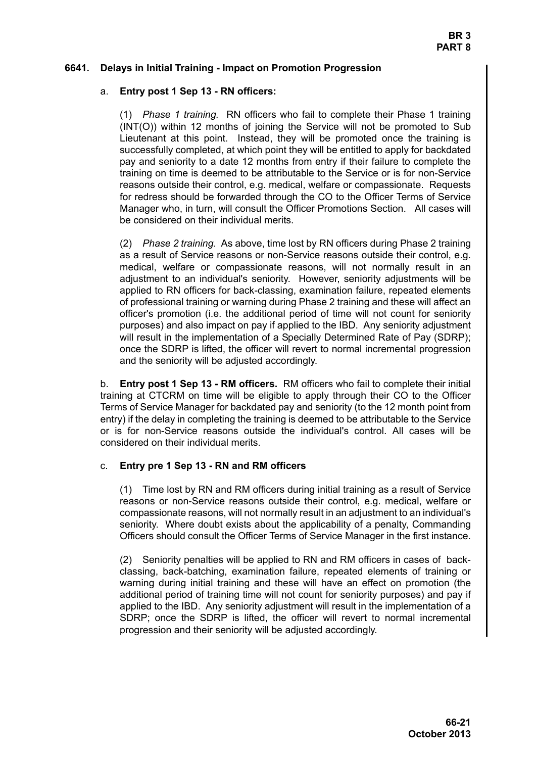## <span id="page-20-0"></span>**6641. Delays in Initial Training - Impact on Promotion Progression**

## a. **Entry post 1 Sep 13 - RN officers:**

(1) *Phase 1 training.* RN officers who fail to complete their Phase 1 training (INT(O)) within 12 months of joining the Service will not be promoted to Sub Lieutenant at this point. Instead, they will be promoted once the training is successfully completed, at which point they will be entitled to apply for backdated pay and seniority to a date 12 months from entry if their failure to complete the training on time is deemed to be attributable to the Service or is for non-Service reasons outside their control, e.g. medical, welfare or compassionate. Requests for redress should be forwarded through the CO to the Officer Terms of Service Manager who, in turn, will consult the Officer Promotions Section. All cases will be considered on their individual merits.

(2) *Phase 2 training.* As above, time lost by RN officers during Phase 2 training as a result of Service reasons or non-Service reasons outside their control, e.g. medical, welfare or compassionate reasons, will not normally result in an adjustment to an individual's seniority. However, seniority adjustments will be applied to RN officers for back-classing, examination failure, repeated elements of professional training or warning during Phase 2 training and these will affect an officer's promotion (i.e. the additional period of time will not count for seniority purposes) and also impact on pay if applied to the IBD. Any seniority adjustment will result in the implementation of a Specially Determined Rate of Pay (SDRP); once the SDRP is lifted, the officer will revert to normal incremental progression and the seniority will be adjusted accordingly.

b. **Entry post 1 Sep 13 - RM officers.** RM officers who fail to complete their initial training at CTCRM on time will be eligible to apply through their CO to the Officer Terms of Service Manager for backdated pay and seniority (to the 12 month point from entry) if the delay in completing the training is deemed to be attributable to the Service or is for non-Service reasons outside the individual's control. All cases will be considered on their individual merits.

## c. **Entry pre 1 Sep 13 - RN and RM officers**

(1) Time lost by RN and RM officers during initial training as a result of Service reasons or non-Service reasons outside their control, e.g. medical, welfare or compassionate reasons, will not normally result in an adjustment to an individual's seniority. Where doubt exists about the applicability of a penalty, Commanding Officers should consult the Officer Terms of Service Manager in the first instance.

(2) Seniority penalties will be applied to RN and RM officers in cases of backclassing, back-batching, examination failure, repeated elements of training or warning during initial training and these will have an effect on promotion (the additional period of training time will not count for seniority purposes) and pay if applied to the IBD. Any seniority adjustment will result in the implementation of a SDRP; once the SDRP is lifted, the officer will revert to normal incremental progression and their seniority will be adjusted accordingly.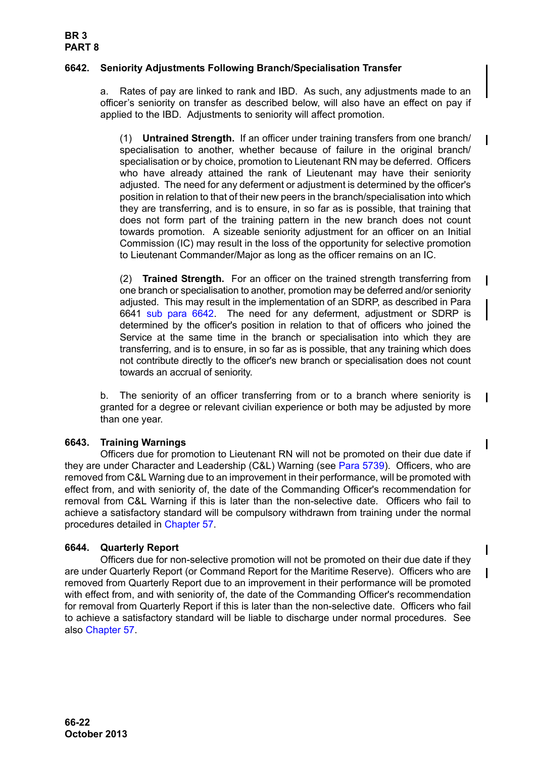## <span id="page-21-0"></span>**6642. Seniority Adjustments Following Branch/Specialisation Transfer**

a. Rates of pay are linked to rank and IBD. As such, any adjustments made to an officer's seniority on transfer as described below, will also have an effect on pay if applied to the IBD. Adjustments to seniority will affect promotion.

(1) **Untrained Strength.** If an officer under training transfers from one branch/ specialisation to another, whether because of failure in the original branch/ specialisation or by choice, promotion to Lieutenant RN may be deferred. Officers who have already attained the rank of Lieutenant may have their seniority adjusted. The need for any deferment or adjustment is determined by the officer's position in relation to that of their new peers in the branch/specialisation into which they are transferring, and is to ensure, in so far as is possible, that training that does not form part of the training pattern in the new branch does not count towards promotion. A sizeable seniority adjustment for an officer on an Initial Commission (IC) may result in the loss of the opportunity for selective promotion to Lieutenant Commander/Major as long as the officer remains on an IC.

(2) **Trained Strength.** For an officer on the trained strength transferring from one branch or specialisation to another, promotion may be deferred and/or seniority adjusted. This may result in the implementation of an SDRP, as described in [Para](#page-20-0) [6641](#page-20-0) [sub para 6642.](#page-21-0) The need for any deferment, adjustment or SDRP is determined by the officer's position in relation to that of officers who joined the Service at the same time in the branch or specialisation into which they are transferring, and is to ensure, in so far as is possible, that any training which does not contribute directly to the officer's new branch or specialisation does not count towards an accrual of seniority.

b. The seniority of an officer transferring from or to a branch where seniority is granted for a degree or relevant civilian experience or both may be adjusted by more than one year.

## <span id="page-21-1"></span>**6643. Training Warnings**

Officers due for promotion to Lieutenant RN will not be promoted on their due date if they are under Character and Leadership (C&L) Warning (see Para 5739). Officers, who are removed from C&L Warning due to an improvement in their performance, will be promoted with effect from, and with seniority of, the date of the Commanding Officer's recommendation for removal from C&L Warning if this is later than the non-selective date. Officers who fail to achieve a satisfactory standard will be compulsory withdrawn from training under the normal procedures detailed in Chapter 57.

## <span id="page-21-2"></span>**6644. Quarterly Report**

Officers due for non-selective promotion will not be promoted on their due date if they are under Quarterly Report (or Command Report for the Maritime Reserve). Officers who are removed from Quarterly Report due to an improvement in their performance will be promoted with effect from, and with seniority of, the date of the Commanding Officer's recommendation for removal from Quarterly Report if this is later than the non-selective date. Officers who fail to achieve a satisfactory standard will be liable to discharge under normal procedures. See also Chapter 57.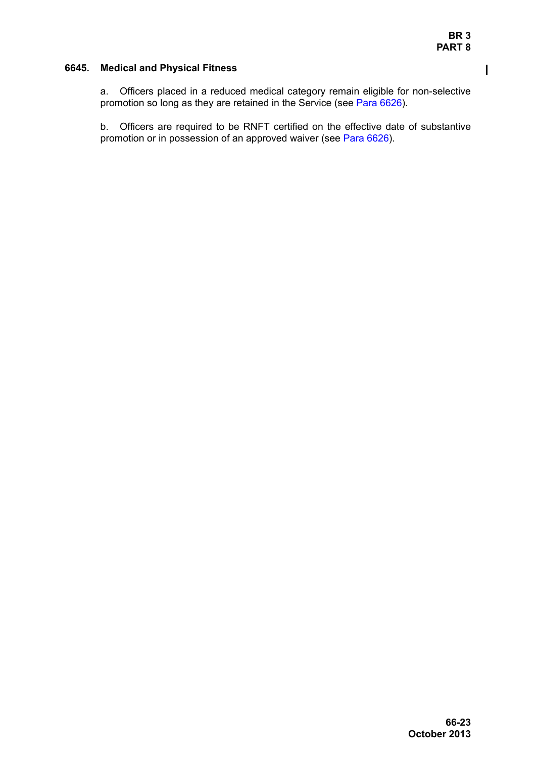$\overline{\phantom{a}}$ 

## <span id="page-22-0"></span>**6645. Medical and Physical Fitness**

a. Officers placed in a reduced medical category remain eligible for non-selective promotion so long as they are retained in the Service (see [Para 6626\)](#page-12-3).

b. Officers are required to be RNFT certified on the effective date of substantive promotion or in possession of an approved waiver (see [Para 6626](#page-12-3)).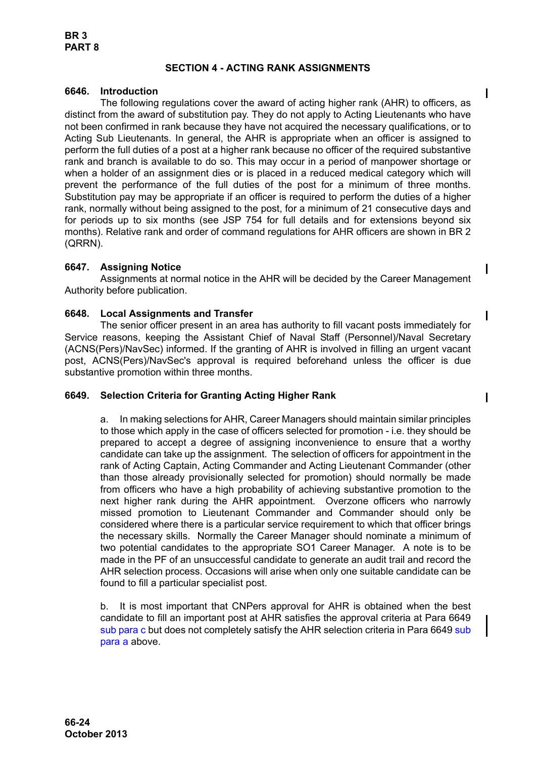## **SECTION 4 - ACTING RANK ASSIGNMENTS**

## <span id="page-23-1"></span><span id="page-23-0"></span>**6646. Introduction**

The following regulations cover the award of acting higher rank (AHR) to officers, as distinct from the award of substitution pay. They do not apply to Acting Lieutenants who have not been confirmed in rank because they have not acquired the necessary qualifications, or to Acting Sub Lieutenants. In general, the AHR is appropriate when an officer is assigned to perform the full duties of a post at a higher rank because no officer of the required substantive rank and branch is available to do so. This may occur in a period of manpower shortage or when a holder of an assignment dies or is placed in a reduced medical category which will prevent the performance of the full duties of the post for a minimum of three months. Substitution pay may be appropriate if an officer is required to perform the duties of a higher rank, normally without being assigned to the post, for a minimum of 21 consecutive days and for periods up to six months (see JSP 754 for full details and for extensions beyond six months). Relative rank and order of command regulations for AHR officers are shown in BR 2 (QRRN).

## <span id="page-23-2"></span>**6647. Assigning Notice**

Assignments at normal notice in the AHR will be decided by the Career Management Authority before publication.

## <span id="page-23-3"></span>**6648. Local Assignments and Transfer**

The senior officer present in an area has authority to fill vacant posts immediately for Service reasons, keeping the Assistant Chief of Naval Staff (Personnel)/Naval Secretary (ACNS(Pers)/NavSec) informed. If the granting of AHR is involved in filling an urgent vacant post, ACNS(Pers)/NavSec's approval is required beforehand unless the officer is due substantive promotion within three months.

## <span id="page-23-5"></span><span id="page-23-4"></span>**6649. Selection Criteria for Granting Acting Higher Rank**

a. In making selections for AHR, Career Managers should maintain similar principles to those which apply in the case of officers selected for promotion - i.e. they should be prepared to accept a degree of assigning inconvenience to ensure that a worthy candidate can take up the assignment. The selection of officers for appointment in the rank of Acting Captain, Acting Commander and Acting Lieutenant Commander (other than those already provisionally selected for promotion) should normally be made from officers who have a high probability of achieving substantive promotion to the next higher rank during the AHR appointment. Overzone officers who narrowly missed promotion to Lieutenant Commander and Commander should only be considered where there is a particular service requirement to which that officer brings the necessary skills. Normally the Career Manager should nominate a minimum of two potential candidates to the appropriate SO1 Career Manager. A note is to be made in the PF of an unsuccessful candidate to generate an audit trail and record the AHR selection process. Occasions will arise when only one suitable candidate can be found to fill a particular specialist post.

 $\mathbf I$ 

<span id="page-23-6"></span>b. It is most important that CNPers approval for AHR is obtained when the best candidate to fill an important post at AHR satisfies the approval criteria at [Para 6649](#page-23-4) [sub para c](#page-24-1) but does not completely satisfy the AHR selection criteria in [Para 6649](#page-23-4) [sub](#page-23-5) [para a](#page-23-5) above.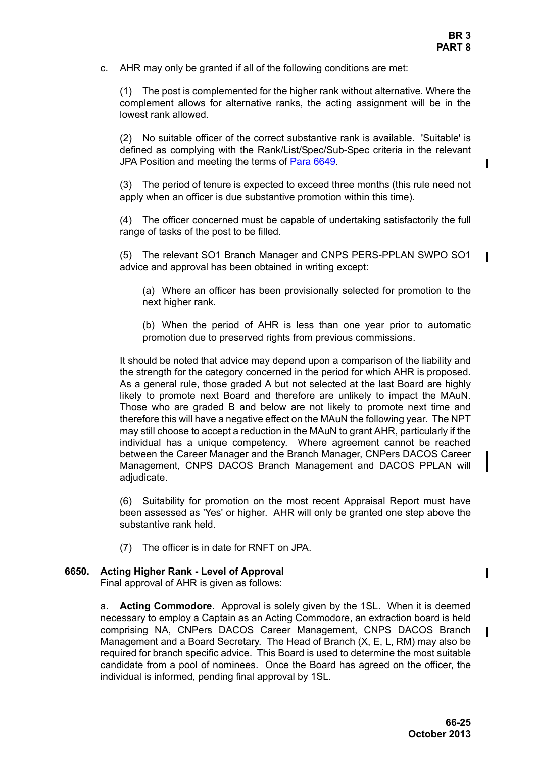**BR 3 PART 8**

<span id="page-24-1"></span>c. AHR may only be granted if all of the following conditions are met:

(1) The post is complemented for the higher rank without alternative. Where the complement allows for alternative ranks, the acting assignment will be in the lowest rank allowed.

(2) No suitable officer of the correct substantive rank is available. 'Suitable' is defined as complying with the Rank/List/Spec/Sub-Spec criteria in the relevant JPA Position and meeting the terms of [Para 6649.](#page-23-4)

(3) The period of tenure is expected to exceed three months (this rule need not apply when an officer is due substantive promotion within this time).

(4) The officer concerned must be capable of undertaking satisfactorily the full range of tasks of the post to be filled.

(5) The relevant SO1 Branch Manager and CNPS PERS-PPLAN SWPO SO1 advice and approval has been obtained in writing except:

(a) Where an officer has been provisionally selected for promotion to the next higher rank.

(b) When the period of AHR is less than one year prior to automatic promotion due to preserved rights from previous commissions.

It should be noted that advice may depend upon a comparison of the liability and the strength for the category concerned in the period for which AHR is proposed. As a general rule, those graded A but not selected at the last Board are highly likely to promote next Board and therefore are unlikely to impact the MAuN. Those who are graded B and below are not likely to promote next time and therefore this will have a negative effect on the MAuN the following year. The NPT may still choose to accept a reduction in the MAuN to grant AHR, particularly if the individual has a unique competency. Where agreement cannot be reached between the Career Manager and the Branch Manager, CNPers DACOS Career Management, CNPS DACOS Branch Management and DACOS PPLAN will adjudicate.

(6) Suitability for promotion on the most recent Appraisal Report must have been assessed as 'Yes' or higher. AHR will only be granted one step above the substantive rank held.

(7) The officer is in date for RNFT on JPA.

#### <span id="page-24-0"></span>**6650. Acting Higher Rank - Level of Approval**

Final approval of AHR is given as follows:

a. **Acting Commodore.** Approval is solely given by the 1SL. When it is deemed necessary to employ a Captain as an Acting Commodore, an extraction board is held comprising NA, CNPers DACOS Career Management, CNPS DACOS Branch Management and a Board Secretary. The Head of Branch (X, E, L, RM) may also be required for branch specific advice. This Board is used to determine the most suitable candidate from a pool of nominees. Once the Board has agreed on the officer, the individual is informed, pending final approval by 1SL.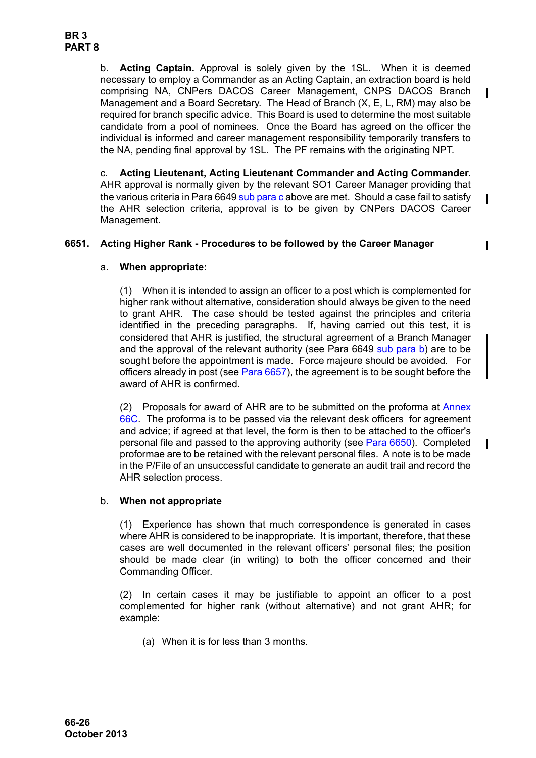b. **Acting Captain.** Approval is solely given by the 1SL. When it is deemed necessary to employ a Commander as an Acting Captain, an extraction board is held comprising NA, CNPers DACOS Career Management, CNPS DACOS Branch Management and a Board Secretary. The Head of Branch (X, E, L, RM) may also be required for branch specific advice. This Board is used to determine the most suitable candidate from a pool of nominees. Once the Board has agreed on the officer the individual is informed and career management responsibility temporarily transfers to the NA, pending final approval by 1SL. The PF remains with the originating NPT.

c. **Acting Lieutenant, Acting Lieutenant Commander and Acting Commander**. AHR approval is normally given by the relevant SO1 Career Manager providing that the various criteria in [Para 6649](#page-23-4) [sub para c](#page-24-1) above are met. Should a case fail to satisfy the AHR selection criteria, approval is to be given by CNPers DACOS Career Management.

## <span id="page-25-0"></span>**6651. Acting Higher Rank - Procedures to be followed by the Career Manager**

## a. **When appropriate:**

(1) When it is intended to assign an officer to a post which is complemented for higher rank without alternative, consideration should always be given to the need to grant AHR. The case should be tested against the principles and criteria identified in the preceding paragraphs. If, having carried out this test, it is considered that AHR is justified, the structural agreement of a Branch Manager and the approval of the relevant authority (see [Para 6649](#page-23-4) [sub para b\)](#page-23-6) are to be sought before the appointment is made. Force majeure should be avoided. For officers already in post (see [Para 6657\)](#page-28-0), the agreement is to be sought before the award of AHR is confirmed.

(2) Proposals for award of AHR are to be submitted on the proforma at Annex 66C. The proforma is to be passed via the relevant desk officers for agreement and advice; if agreed at that level, the form is then to be attached to the officer's personal file and passed to the approving authority (see [Para 6650](#page-24-0)). Completed proformae are to be retained with the relevant personal files. A note is to be made in the P/File of an unsuccessful candidate to generate an audit trail and record the AHR selection process.

## <span id="page-25-1"></span>b. **When not appropriate**

(1) Experience has shown that much correspondence is generated in cases where AHR is considered to be inappropriate. It is important, therefore, that these cases are well documented in the relevant officers' personal files; the position should be made clear (in writing) to both the officer concerned and their Commanding Officer.

(2) In certain cases it may be justifiable to appoint an officer to a post complemented for higher rank (without alternative) and not grant AHR; for example:

(a) When it is for less than 3 months.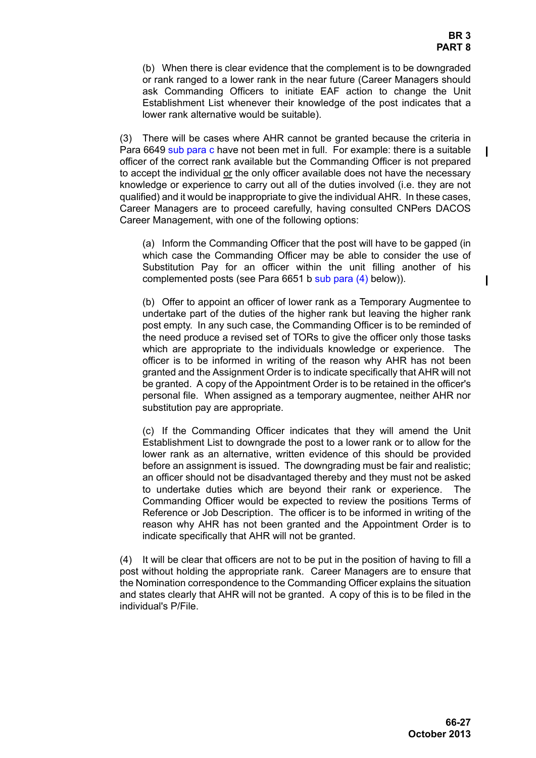(b) When there is clear evidence that the complement is to be downgraded or rank ranged to a lower rank in the near future (Career Managers should ask Commanding Officers to initiate EAF action to change the Unit Establishment List whenever their knowledge of the post indicates that a lower rank alternative would be suitable).

(3) There will be cases where AHR cannot be granted because the criteria in [Para 6649](#page-23-4) [sub para c](#page-24-1) have not been met in full. For example: there is a suitable officer of the correct rank available but the Commanding Officer is not prepared to accept the individual or the only officer available does not have the necessary knowledge or experience to carry out all of the duties involved (i.e. they are not qualified) and it would be inappropriate to give the individual AHR. In these cases, Career Managers are to proceed carefully, having consulted CNPers DACOS Career Management, with one of the following options:

(a) Inform the Commanding Officer that the post will have to be gapped (in which case the Commanding Officer may be able to consider the use of Substitution Pay for an officer within the unit filling another of his complemented posts (see [Para 6651](#page-25-0) [b](#page-25-1) [sub para \(4\)](#page-26-0) below)).

(b) Offer to appoint an officer of lower rank as a Temporary Augmentee to undertake part of the duties of the higher rank but leaving the higher rank post empty. In any such case, the Commanding Officer is to be reminded of the need produce a revised set of TORs to give the officer only those tasks which are appropriate to the individuals knowledge or experience. The officer is to be informed in writing of the reason why AHR has not been granted and the Assignment Order is to indicate specifically that AHR will not be granted. A copy of the Appointment Order is to be retained in the officer's personal file. When assigned as a temporary augmentee, neither AHR nor substitution pay are appropriate.

(c) If the Commanding Officer indicates that they will amend the Unit Establishment List to downgrade the post to a lower rank or to allow for the lower rank as an alternative, written evidence of this should be provided before an assignment is issued. The downgrading must be fair and realistic; an officer should not be disadvantaged thereby and they must not be asked to undertake duties which are beyond their rank or experience. The Commanding Officer would be expected to review the positions Terms of Reference or Job Description. The officer is to be informed in writing of the reason why AHR has not been granted and the Appointment Order is to indicate specifically that AHR will not be granted.

<span id="page-26-0"></span>(4) It will be clear that officers are not to be put in the position of having to fill a post without holding the appropriate rank. Career Managers are to ensure that the Nomination correspondence to the Commanding Officer explains the situation and states clearly that AHR will not be granted. A copy of this is to be filed in the individual's P/File.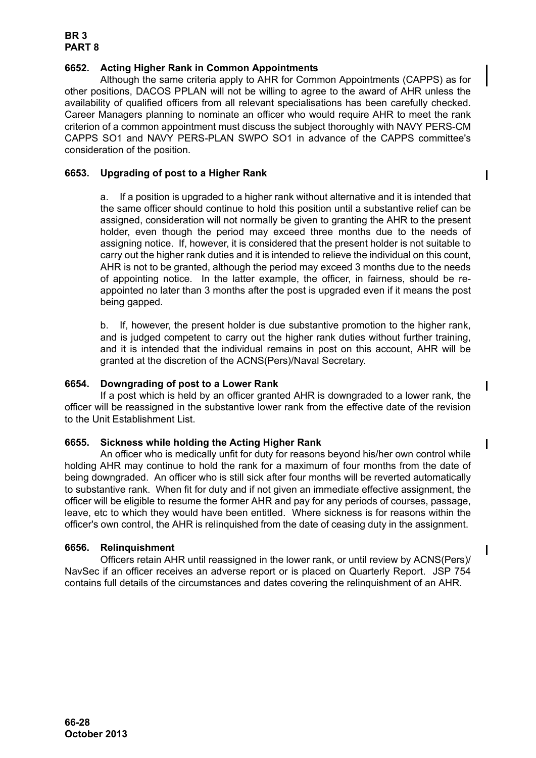## **BR 3 PART 8**

## <span id="page-27-0"></span>**6652. Acting Higher Rank in Common Appointments**

Although the same criteria apply to AHR for Common Appointments (CAPPS) as for other positions, DACOS PPLAN will not be willing to agree to the award of AHR unless the availability of qualified officers from all relevant specialisations has been carefully checked. Career Managers planning to nominate an officer who would require AHR to meet the rank criterion of a common appointment must discuss the subject thoroughly with NAVY PERS-CM CAPPS SO1 and NAVY PERS-PLAN SWPO SO1 in advance of the CAPPS committee's consideration of the position.

## <span id="page-27-1"></span>**6653. Upgrading of post to a Higher Rank**

a. If a position is upgraded to a higher rank without alternative and it is intended that the same officer should continue to hold this position until a substantive relief can be assigned, consideration will not normally be given to granting the AHR to the present holder, even though the period may exceed three months due to the needs of assigning notice. If, however, it is considered that the present holder is not suitable to carry out the higher rank duties and it is intended to relieve the individual on this count, AHR is not to be granted, although the period may exceed 3 months due to the needs of appointing notice. In the latter example, the officer, in fairness, should be reappointed no later than 3 months after the post is upgraded even if it means the post being gapped.

b. If, however, the present holder is due substantive promotion to the higher rank, and is judged competent to carry out the higher rank duties without further training, and it is intended that the individual remains in post on this account, AHR will be granted at the discretion of the ACNS(Pers)/Naval Secretary.

## <span id="page-27-2"></span>**6654. Downgrading of post to a Lower Rank**

If a post which is held by an officer granted AHR is downgraded to a lower rank, the officer will be reassigned in the substantive lower rank from the effective date of the revision to the Unit Establishment List.

## <span id="page-27-3"></span>**6655. Sickness while holding the Acting Higher Rank**

An officer who is medically unfit for duty for reasons beyond his/her own control while holding AHR may continue to hold the rank for a maximum of four months from the date of being downgraded. An officer who is still sick after four months will be reverted automatically to substantive rank. When fit for duty and if not given an immediate effective assignment, the officer will be eligible to resume the former AHR and pay for any periods of courses, passage, leave, etc to which they would have been entitled. Where sickness is for reasons within the officer's own control, the AHR is relinquished from the date of ceasing duty in the assignment.

## <span id="page-27-4"></span>**6656. Relinquishment**

Officers retain AHR until reassigned in the lower rank, or until review by ACNS(Pers)/ NavSec if an officer receives an adverse report or is placed on Quarterly Report. JSP 754 contains full details of the circumstances and dates covering the relinquishment of an AHR.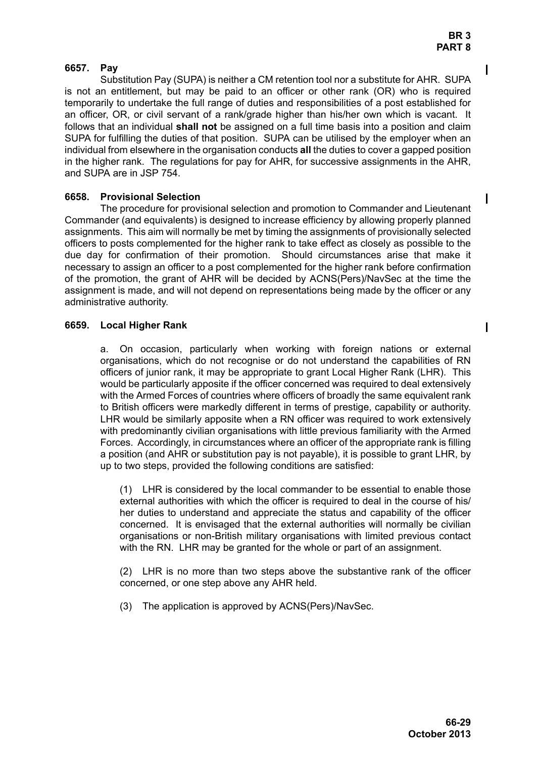## <span id="page-28-0"></span>**6657. Pay**

Substitution Pay (SUPA) is neither a CM retention tool nor a substitute for AHR. SUPA is not an entitlement, but may be paid to an officer or other rank (OR) who is required temporarily to undertake the full range of duties and responsibilities of a post established for an officer, OR, or civil servant of a rank/grade higher than his/her own which is vacant. It follows that an individual **shall not** be assigned on a full time basis into a position and claim SUPA for fulfilling the duties of that position. SUPA can be utilised by the employer when an individual from elsewhere in the organisation conducts **all** the duties to cover a gapped position in the higher rank. The regulations for pay for AHR, for successive assignments in the AHR, and SUPA are in JSP 754.

## <span id="page-28-1"></span>**6658. Provisional Selection**

The procedure for provisional selection and promotion to Commander and Lieutenant Commander (and equivalents) is designed to increase efficiency by allowing properly planned assignments. This aim will normally be met by timing the assignments of provisionally selected officers to posts complemented for the higher rank to take effect as closely as possible to the due day for confirmation of their promotion. Should circumstances arise that make it necessary to assign an officer to a post complemented for the higher rank before confirmation of the promotion, the grant of AHR will be decided by ACNS(Pers)/NavSec at the time the assignment is made, and will not depend on representations being made by the officer or any administrative authority.

## <span id="page-28-2"></span>**6659. Local Higher Rank**

a. On occasion, particularly when working with foreign nations or external organisations, which do not recognise or do not understand the capabilities of RN officers of junior rank, it may be appropriate to grant Local Higher Rank (LHR). This would be particularly apposite if the officer concerned was required to deal extensively with the Armed Forces of countries where officers of broadly the same equivalent rank to British officers were markedly different in terms of prestige, capability or authority. LHR would be similarly apposite when a RN officer was required to work extensively with predominantly civilian organisations with little previous familiarity with the Armed Forces. Accordingly, in circumstances where an officer of the appropriate rank is filling a position (and AHR or substitution pay is not payable), it is possible to grant LHR, by up to two steps, provided the following conditions are satisfied:

(1) LHR is considered by the local commander to be essential to enable those external authorities with which the officer is required to deal in the course of his/ her duties to understand and appreciate the status and capability of the officer concerned. It is envisaged that the external authorities will normally be civilian organisations or non-British military organisations with limited previous contact with the RN. LHR may be granted for the whole or part of an assignment.

(2) LHR is no more than two steps above the substantive rank of the officer concerned, or one step above any AHR held.

(3) The application is approved by ACNS(Pers)/NavSec.